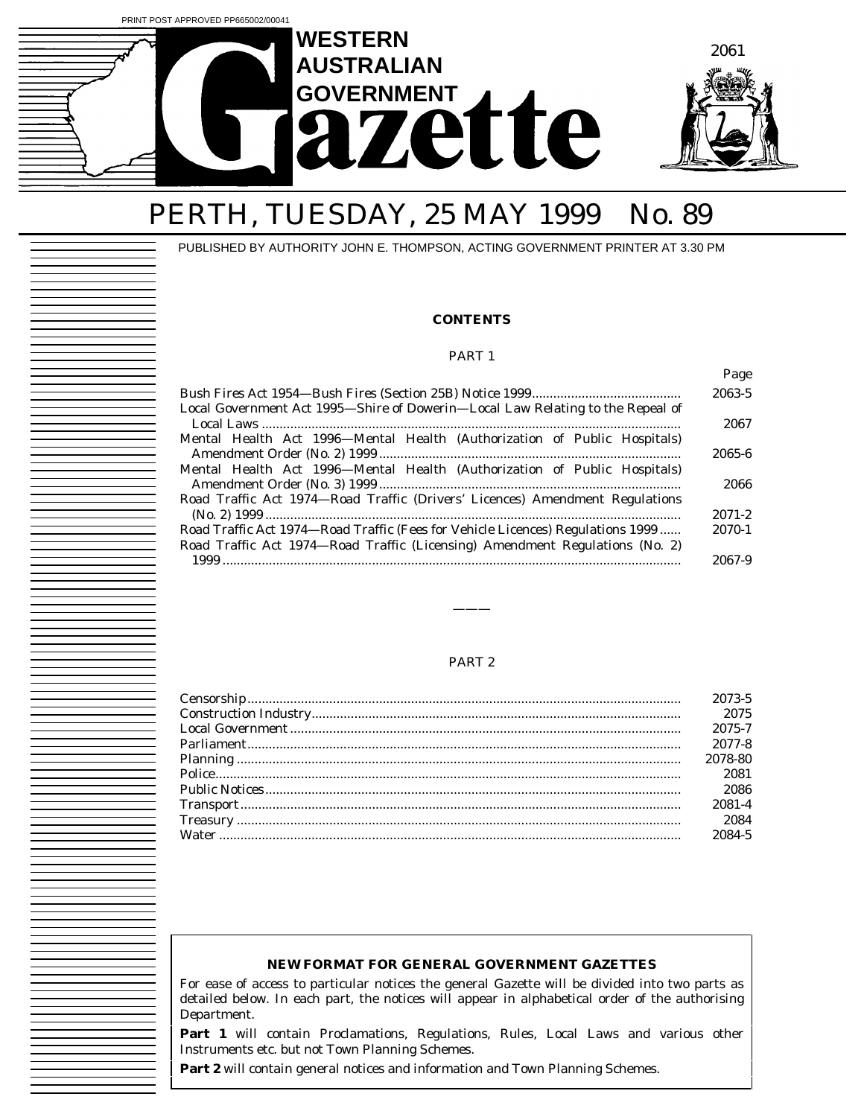

# PERTH, TUESDAY, 25 MAY 1999 No. 89

PUBLISHED BY AUTHORITY JOHN E. THOMPSON, ACTING GOVERNMENT PRINTER AT 3.30 PM

#### **CONTENTS**

#### PART 1

|                                                                                                                                                                 | Page       |
|-----------------------------------------------------------------------------------------------------------------------------------------------------------------|------------|
|                                                                                                                                                                 | 2063-5     |
| Local Government Act 1995—Shire of Dowerin—Local Law Relating to the Repeal of                                                                                  | 2067       |
| Mental Health Act 1996—Mental Health (Authorization of Public Hospitals)                                                                                        | 2065-6     |
| Mental Health Act 1996—Mental Health (Authorization of Public Hospitals)                                                                                        | 2066       |
| Road Traffic Act 1974—Road Traffic (Drivers' Licences) Amendment Regulations                                                                                    | $2071 - 2$ |
| Road Traffic Act 1974—Road Traffic (Fees for Vehicle Licences) Regulations 1999<br>Road Traffic Act 1974—Road Traffic (Licensing) Amendment Regulations (No. 2) | 2070-1     |
|                                                                                                                                                                 | 2067-9     |

#### PART 2

———

| 2073-5  |
|---------|
| 2075    |
| 2075-7  |
| 2077-8  |
| 2078-80 |
| 2081    |
| 2086    |
| 2081-4  |
| 2084    |
| 2084-5  |

#### **NEW FORMAT FOR GENERAL GOVERNMENT GAZETTES**

For ease of access to particular notices the general Gazette will be divided into two parts as detailed below. In each part, the notices will appear in alphabetical order of the authorising Department.

**Part 1** will contain Proclamations, Regulations, Rules, Local Laws and various other Instruments etc. but not Town Planning Schemes.

Part 2 will contain general notices and information and Town Planning Schemes.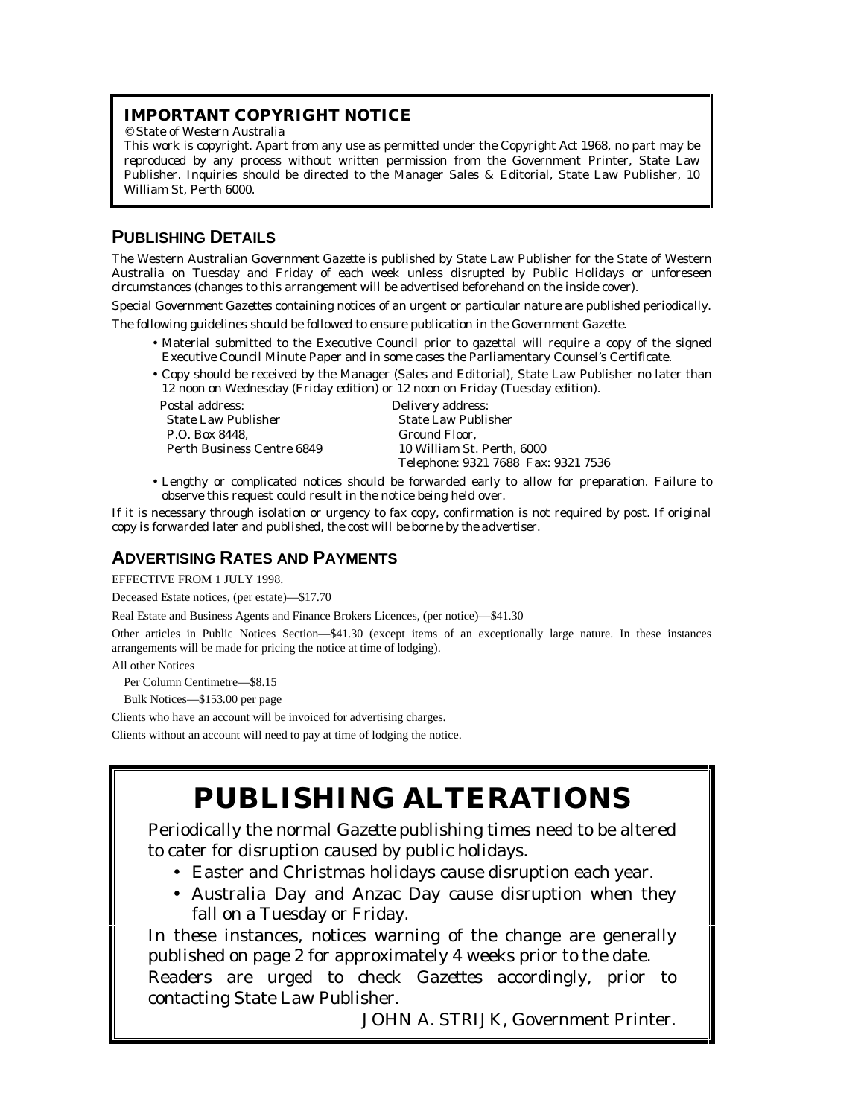## **IMPORTANT COPYRIGHT NOTICE**

© State of Western Australia

This work is copyright. Apart from any use as permitted under the *Copyright Act 1968*, no part may be reproduced by any process without written permission from the Government Printer, State Law Publisher. Inquiries should be directed to the Manager Sales & Editorial, State Law Publisher, 10 William St, Perth 6000.

## **PUBLISHING DETAILS**

The Western Australian *Government Gazette* is published by State Law Publisher for the State of Western Australia on Tuesday and Friday of each week unless disrupted by Public Holidays or unforeseen circumstances (changes to this arrangement will be advertised beforehand on the inside cover).

Special *Government Gazettes* containing notices of an urgent or particular nature are published periodically.

The following guidelines should be followed to ensure publication in the *Government Gazette*.

- Material submitted to the Executive Council prior to gazettal will require a copy of the signed Executive Council Minute Paper and in some cases the Parliamentary Counsel's Certificate.
- Copy should be received by the Manager (Sales and Editorial), State Law Publisher no later than 12 noon on Wednesday (Friday edition) or 12 noon on Friday (Tuesday edition).

Postal address: Delivery address: State Law Publisher State Law Publisher P.O. Box 8448, Ground Floor, Perth Business Centre 6849 (Ground Floor, Perth Business Centre 6849

10 William St. Perth, 6000 Telephone: 9321 7688 Fax: 9321 7536

• Lengthy or complicated notices should be forwarded early to allow for preparation. Failure to observe this request could result in the notice being held over.

If it is necessary through isolation or urgency to fax copy, confirmation is not required by post. *If original copy is forwarded later and published, the cost will be borne by the advertiser.*

## **ADVERTISING RATES AND PAYMENTS**

EFFECTIVE FROM 1 JULY 1998.

Deceased Estate notices, (per estate)—\$17.70

Real Estate and Business Agents and Finance Brokers Licences, (per notice)—\$41.30

Other articles in Public Notices Section—\$41.30 (except items of an exceptionally large nature. In these instances arrangements will be made for pricing the notice at time of lodging).

All other Notices

Per Column Centimetre—\$8.15

Bulk Notices—\$153.00 per page

Clients who have an account will be invoiced for advertising charges.

Clients without an account will need to pay at time of lodging the notice.

# **PUBLISHING ALTERATIONS**

Periodically the normal *Gazette* publishing times need to be altered to cater for disruption caused by public holidays.

- Easter and Christmas holidays cause disruption each year.
- Australia Day and Anzac Day cause disruption when they fall on a Tuesday or Friday.

In these instances, notices warning of the change are generally published on page 2 for approximately 4 weeks prior to the date. Readers are urged to check *Gazettes* accordingly, prior to contacting State Law Publisher.

JOHN A. STRIJK, Government Printer.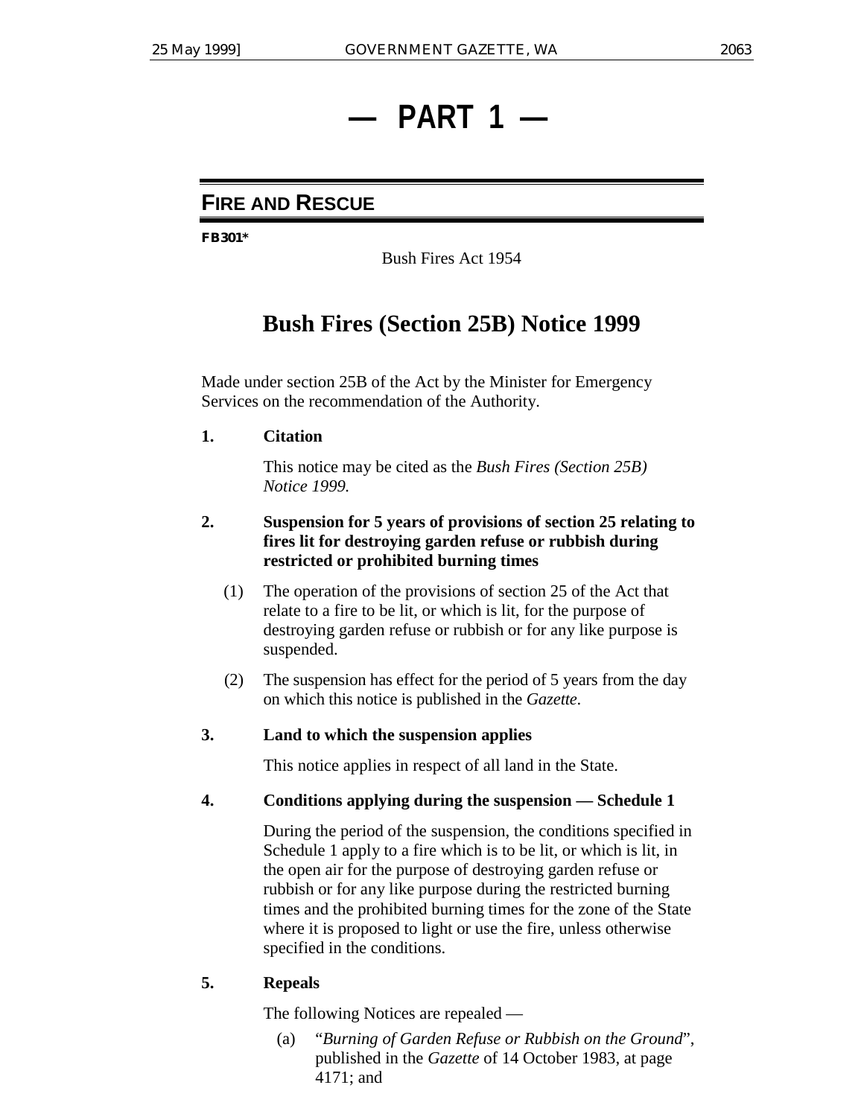# **— PART 1 —**

# **FIRE AND RESCUE**

**FB301\***

Bush Fires Act 1954

# **Bush Fires (Section 25B) Notice 1999**

Made under section 25B of the Act by the Minister for Emergency Services on the recommendation of the Authority.

**1. Citation**

This notice may be cited as the *Bush Fires (Section 25B) Notice 1999.*

## **2. Suspension for 5 years of provisions of section 25 relating to fires lit for destroying garden refuse or rubbish during restricted or prohibited burning times**

- (1) The operation of the provisions of section 25 of the Act that relate to a fire to be lit, or which is lit, for the purpose of destroying garden refuse or rubbish or for any like purpose is suspended.
- (2) The suspension has effect for the period of 5 years from the day on which this notice is published in the *Gazette*.

## **3. Land to which the suspension applies**

This notice applies in respect of all land in the State.

## **4. Conditions applying during the suspension — Schedule 1**

During the period of the suspension, the conditions specified in Schedule 1 apply to a fire which is to be lit, or which is lit, in the open air for the purpose of destroying garden refuse or rubbish or for any like purpose during the restricted burning times and the prohibited burning times for the zone of the State where it is proposed to light or use the fire, unless otherwise specified in the conditions.

## **5. Repeals**

The following Notices are repealed —

(a) "*Burning of Garden Refuse or Rubbish on the Ground*", published in the *Gazette* of 14 October 1983, at page 4171; and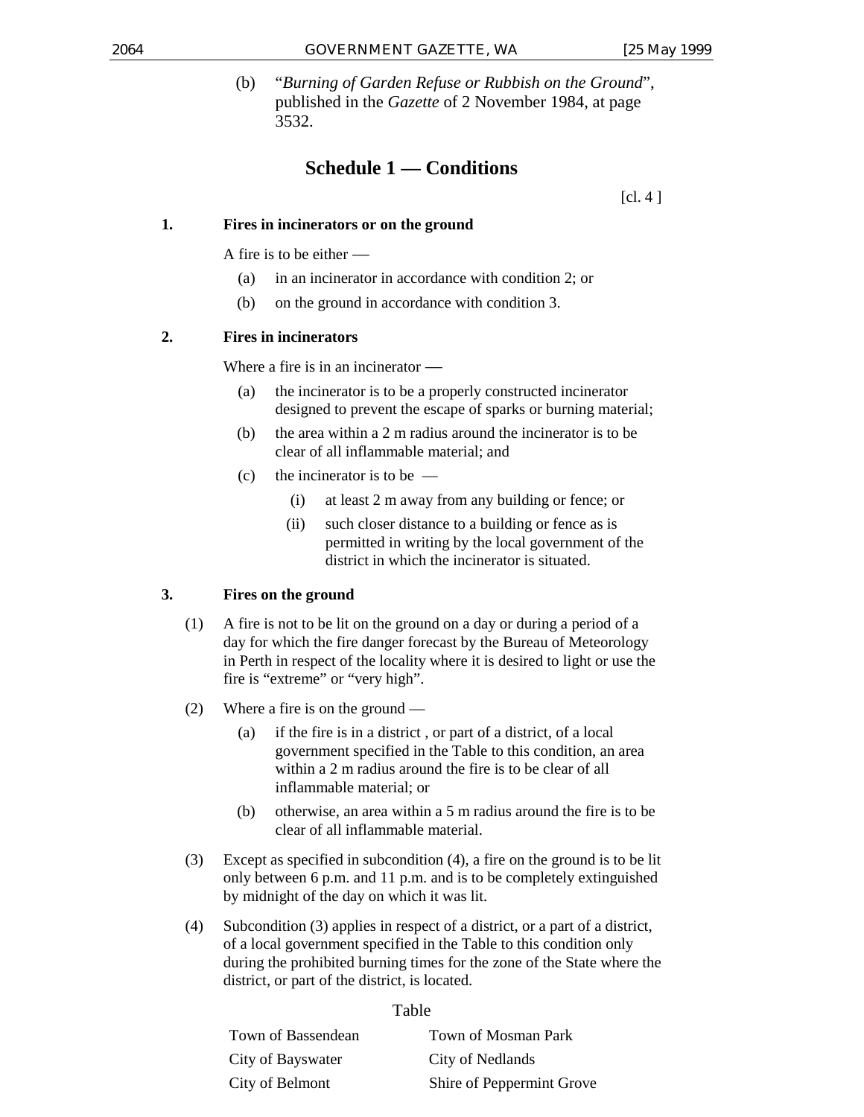(b) "*Burning of Garden Refuse or Rubbish on the Ground*", published in the *Gazette* of 2 November 1984, at page 3532.

## **Schedule 1 — Conditions**

 $\lceil$ cl. 4  $\rceil$ 

## **1. Fires in incinerators or on the ground**

A fire is to be either —

- (a) in an incinerator in accordance with condition 2; or
- (b) on the ground in accordance with condition 3.

## **2. Fires in incinerators**

Where a fire is in an incinerator —

- (a) the incinerator is to be a properly constructed incinerator designed to prevent the escape of sparks or burning material;
- (b) the area within a 2 m radius around the incinerator is to be clear of all inflammable material; and
- (c) the incinerator is to be  $-$ 
	- (i) at least 2 m away from any building or fence; or
	- (ii) such closer distance to a building or fence as is permitted in writing by the local government of the district in which the incinerator is situated.

## **3. Fires on the ground**

- (1) A fire is not to be lit on the ground on a day or during a period of a day for which the fire danger forecast by the Bureau of Meteorology in Perth in respect of the locality where it is desired to light or use the fire is "extreme" or "very high".
- (2) Where a fire is on the ground
	- (a) if the fire is in a district , or part of a district, of a local government specified in the Table to this condition, an area within a 2 m radius around the fire is to be clear of all inflammable material; or
	- (b) otherwise, an area within a 5 m radius around the fire is to be clear of all inflammable material.
- (3) Except as specified in subcondition (4), a fire on the ground is to be lit only between 6 p.m. and 11 p.m. and is to be completely extinguished by midnight of the day on which it was lit.
- (4) Subcondition (3) applies in respect of a district, or a part of a district, of a local government specified in the Table to this condition only during the prohibited burning times for the zone of the State where the district, or part of the district, is located.

## Table

| Town of Bassendean | Town of Mosman Park       |
|--------------------|---------------------------|
| City of Bayswater  | City of Nedlands          |
| City of Belmont    | Shire of Peppermint Grove |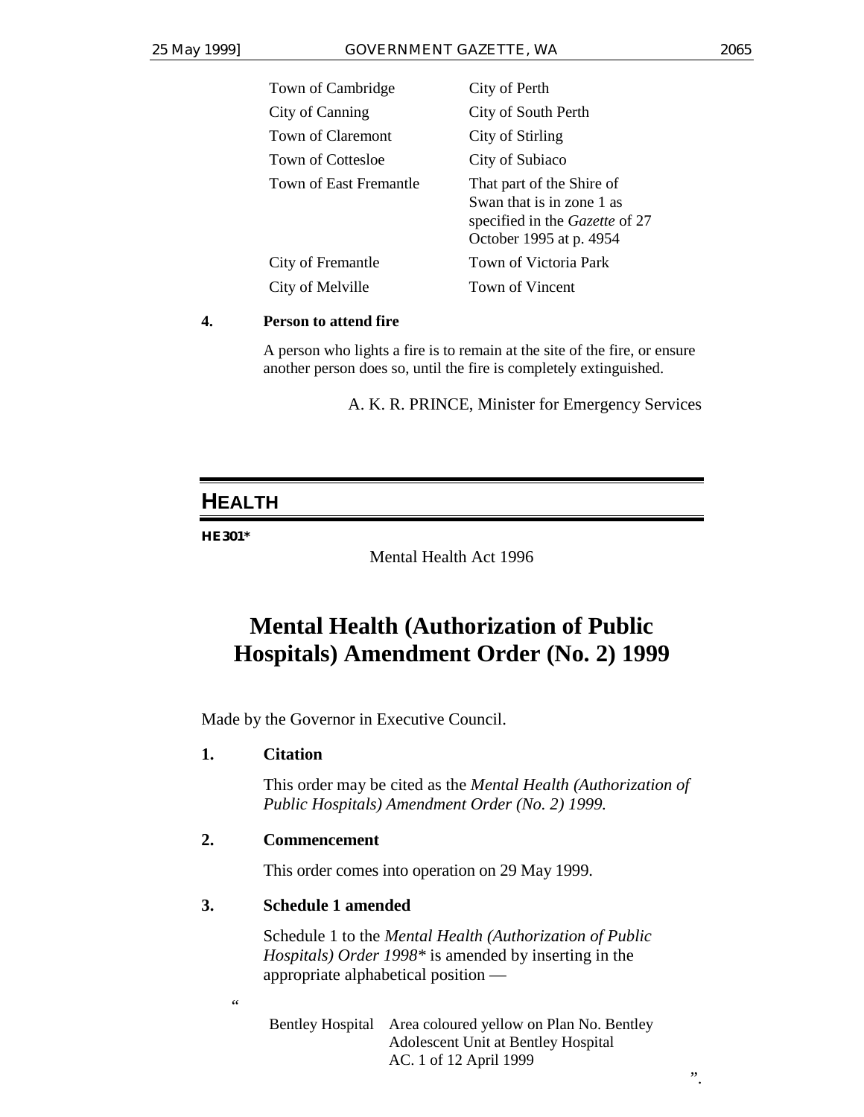| Town of Cambridge      | City of Perth                                                                                                       |
|------------------------|---------------------------------------------------------------------------------------------------------------------|
| City of Canning        | City of South Perth                                                                                                 |
| Town of Claremont      | City of Stirling                                                                                                    |
| Town of Cottesloe      | City of Subiaco                                                                                                     |
| Town of East Fremantle | That part of the Shire of<br>Swan that is in zone 1 as<br>specified in the Gazette of 27<br>October 1995 at p. 4954 |
| City of Fremantle      | Town of Victoria Park                                                                                               |
| City of Melville       | Town of Vincent                                                                                                     |
|                        |                                                                                                                     |

## **4. Person to attend fire**

A person who lights a fire is to remain at the site of the fire, or ensure another person does so, until the fire is completely extinguished.

A. K. R. PRINCE, Minister for Emergency Services

# **HEALTH**

## **HE301\***

Mental Health Act 1996

# **Mental Health (Authorization of Public Hospitals) Amendment Order (No. 2) 1999**

Made by the Governor in Executive Council.

## **1. Citation**

This order may be cited as the *Mental Health (Authorization of Public Hospitals) Amendment Order (No. 2) 1999.*

## **2. Commencement**

This order comes into operation on 29 May 1999.

## **3. Schedule 1 amended**

Schedule 1 to the *Mental Health (Authorization of Public Hospitals) Order 1998\** is amended by inserting in the appropriate alphabetical position —

 $\zeta \zeta$ 

Bentley Hospital Area coloured yellow on Plan No. Bentley Adolescent Unit at Bentley Hospital AC. 1 of 12 April 1999

".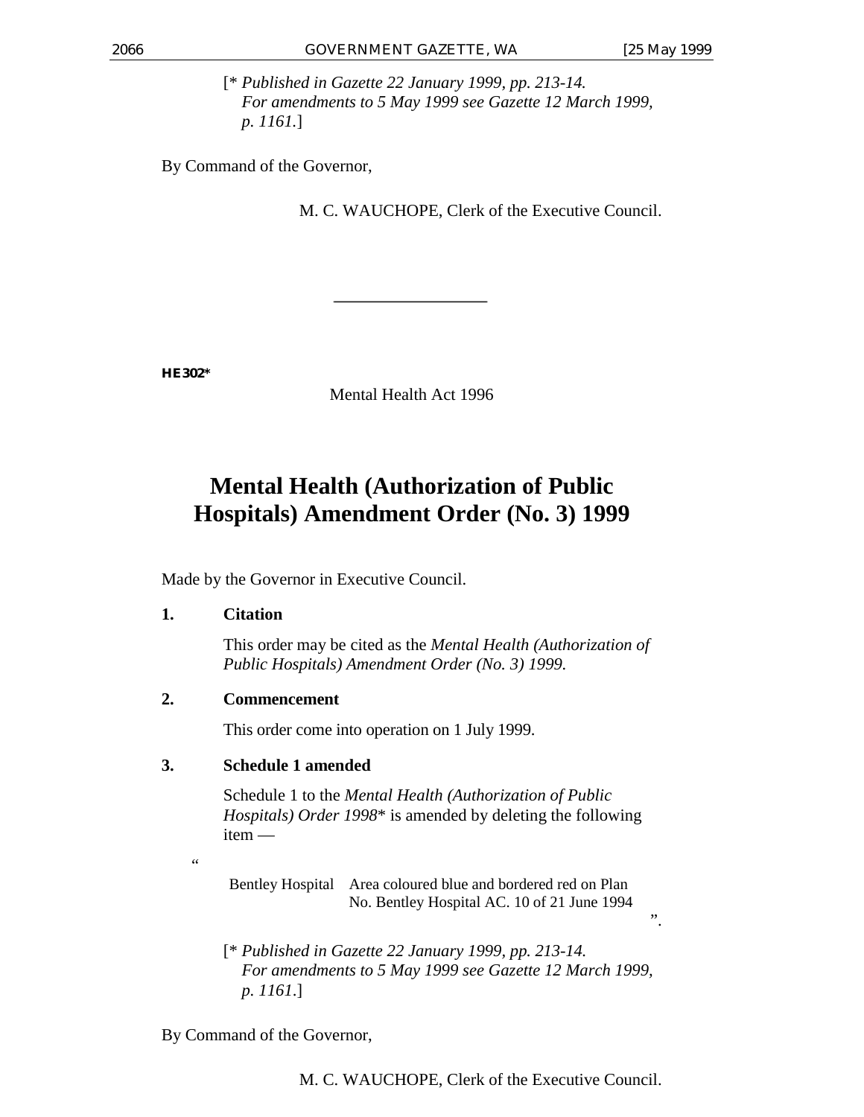".

[\* *Published in Gazette 22 January 1999, pp. 213-14. For amendments to 5 May 1999 see Gazette 12 March 1999, p. 1161.*]

By Command of the Governor,

M. C. WAUCHOPE, Clerk of the Executive Council.

**HE302\***

Mental Health Act 1996

# **Mental Health (Authorization of Public Hospitals) Amendment Order (No. 3) 1999**

Made by the Governor in Executive Council.

## **1. Citation**

This order may be cited as the *Mental Health (Authorization of Public Hospitals) Amendment Order (No. 3) 1999.*

## **2. Commencement**

This order come into operation on 1 July 1999.

## **3. Schedule 1 amended**

Schedule 1 to the *Mental Health (Authorization of Public Hospitals) Order 1998*\* is amended by deleting the following item —

.<br>44

Bentley Hospital Area coloured blue and bordered red on Plan No. Bentley Hospital AC. 10 of 21 June 1994

[\* *Published in Gazette 22 January 1999, pp. 213-14. For amendments to 5 May 1999 see Gazette 12 March 1999, p. 1161*.]

By Command of the Governor,

M. C. WAUCHOPE, Clerk of the Executive Council.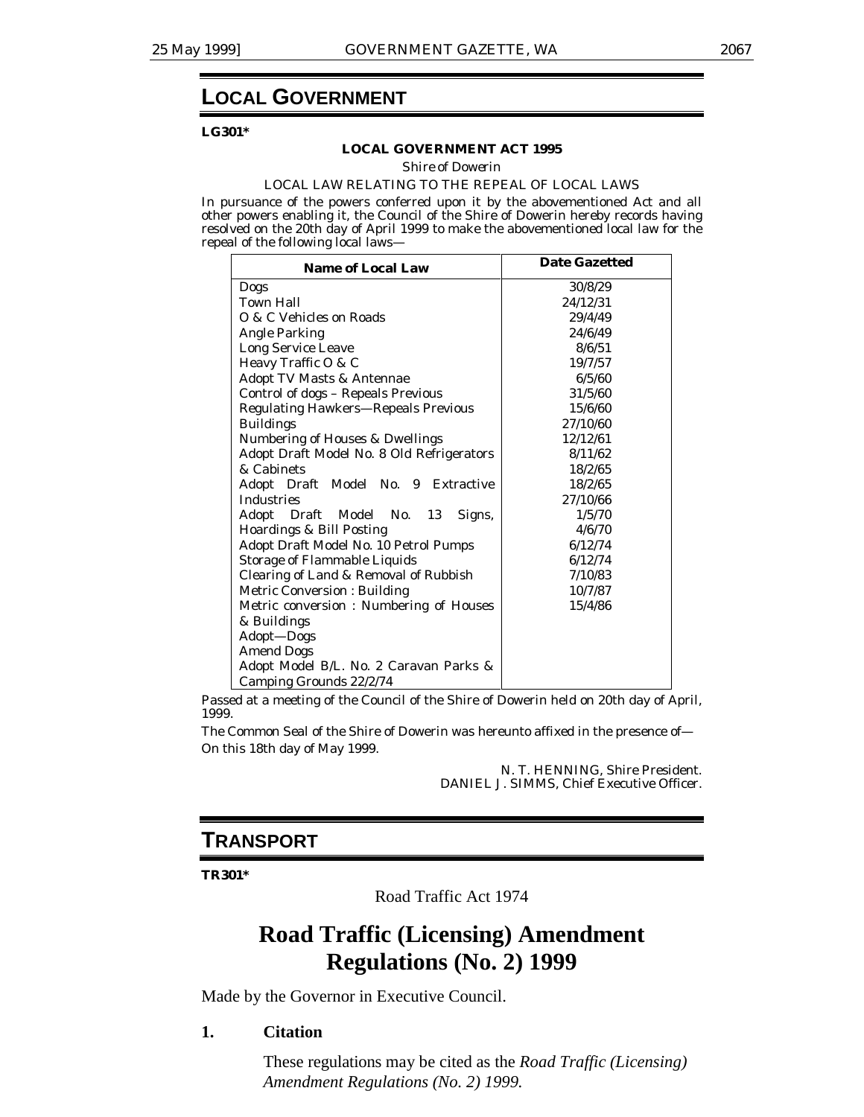## **LOCAL GOVERNMENT**

**LG301\***

#### **LOCAL GOVERNMENT ACT 1995**

*Shire of Dowerin*

#### LOCAL LAW RELATING TO THE REPEAL OF LOCAL LAWS

In pursuance of the powers conferred upon it by the abovementioned Act and all other powers enabling it, the Council of the Shire of Dowerin hereby records having resolved on the 20th day of April 1999 to make the abovementioned local law for the repeal of the following local laws—

| <b>Name of Local Law</b>                   | <b>Date Gazetted</b> |  |
|--------------------------------------------|----------------------|--|
| Dogs                                       | 30/8/29              |  |
| <b>Town Hall</b>                           | 24/12/31             |  |
| O & C Vehicles on Roads                    | 29/4/49              |  |
| <b>Angle Parking</b>                       | 24/6/49              |  |
| <b>Long Service Leave</b>                  | 8/6/51               |  |
| Heavy Traffic O & C                        | 19/7/57              |  |
| <b>Adopt TV Masts &amp; Antennae</b>       | 6/5/60               |  |
| Control of dogs - Repeals Previous         | 31/5/60              |  |
| <b>Regulating Hawkers-Repeals Previous</b> | 15/6/60              |  |
| <b>Buildings</b>                           | 27/10/60             |  |
| <b>Numbering of Houses &amp; Dwellings</b> | 12/12/61             |  |
| Adopt Draft Model No. 8 Old Refrigerators  | 8/11/62              |  |
| & Cabinets                                 | 18/2/65              |  |
| Adopt Draft Model No. 9 Extractive         | 18/2/65              |  |
| <b>Industries</b>                          | 27/10/66             |  |
| Adopt Draft Model No. 13<br>Signs,         | 1/5/70               |  |
| Hoardings & Bill Posting                   | 4/6/70               |  |
| Adopt Draft Model No. 10 Petrol Pumps      | 6/12/74              |  |
| <b>Storage of Flammable Liquids</b>        | 6/12/74              |  |
| Clearing of Land & Removal of Rubbish      | 7/10/83              |  |
| <b>Metric Conversion: Building</b>         | 10/7/87              |  |
| Metric conversion: Numbering of Houses     | 15/4/86              |  |
| & Buildings                                |                      |  |
| Adopt-Dogs                                 |                      |  |
| <b>Amend Dogs</b>                          |                      |  |
| Adopt Model B/L. No. 2 Caravan Parks &     |                      |  |
| Camping Grounds 22/2/74                    |                      |  |

Passed at a meeting of the Council of the Shire of Dowerin held on 20th day of April, 1999.

The Common Seal of the Shire of Dowerin was hereunto affixed in the presence of— On this 18th day of May 1999.

> N. T. HENNING, Shire President. DANIEL J. SIMMS, Chief Executive Officer.

## **TRANSPORT**

**TR301\***

Road Traffic Act 1974

# **Road Traffic (Licensing) Amendment Regulations (No. 2) 1999**

Made by the Governor in Executive Council.

### **1. Citation**

These regulations may be cited as the *Road Traffic (Licensing) Amendment Regulations (No. 2) 1999.*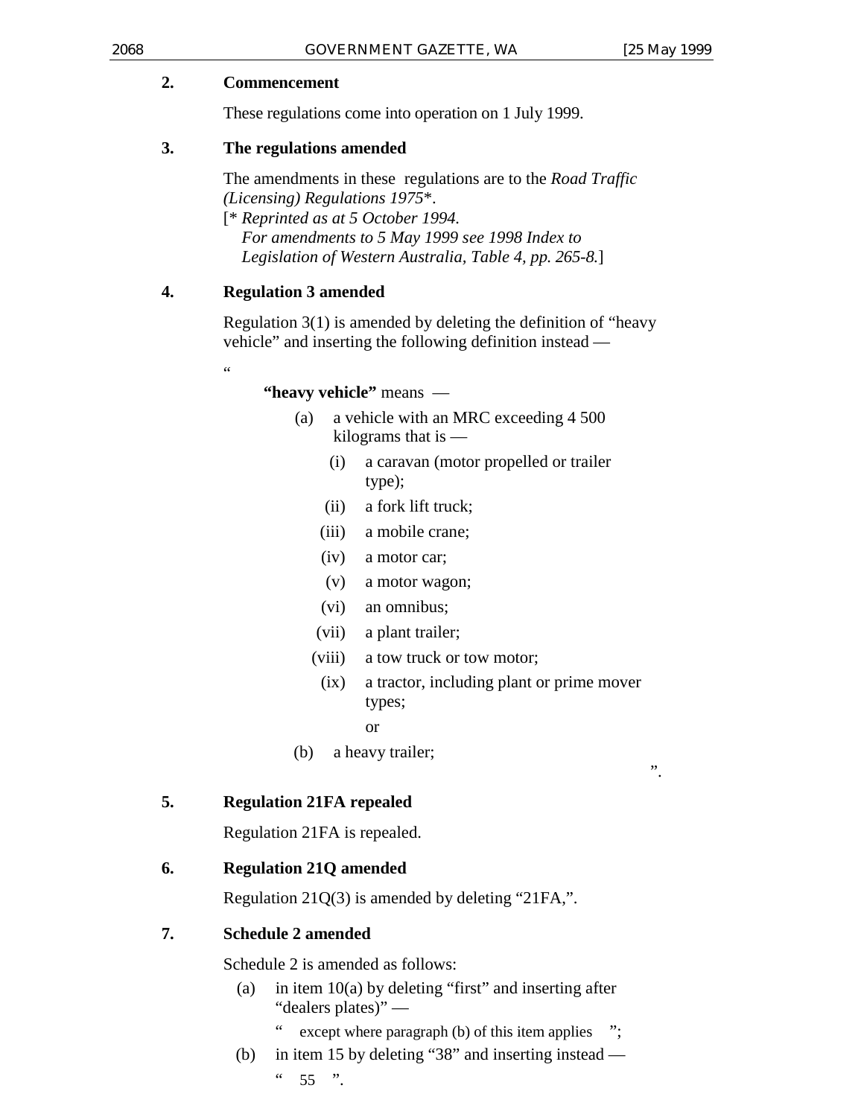## **2. Commencement**

These regulations come into operation on 1 July 1999.

## **3. The regulations amended**

The amendments in these regulations are to the *Road Traffic (Licensing) Regulations 1975*\*.

[\* *Reprinted as at 5 October 1994. For amendments to 5 May 1999 see 1998 Index to Legislation of Western Australia, Table 4, pp. 265-8.*]

## **4. Regulation 3 amended**

"

Regulation 3(1) is amended by deleting the definition of "heavy vehicle" and inserting the following definition instead —

## **"heavy vehicle"** means —

- (a) a vehicle with an MRC exceeding 4 500 kilograms that is —
	- (i) a caravan (motor propelled or trailer type);
	- (ii) a fork lift truck;
	- (iii) a mobile crane;
	- (iv) a motor car;
	- (v) a motor wagon;
	- (vi) an omnibus;
	- (vii) a plant trailer;
	- (viii) a tow truck or tow motor;
		- (ix) a tractor, including plant or prime mover types;
			- or
- (b) a heavy trailer;

".

## **5. Regulation 21FA repealed**

Regulation 21FA is repealed.

## **6. Regulation 21Q amended**

Regulation 21Q(3) is amended by deleting "21FA,".

## **7. Schedule 2 amended**

Schedule 2 is amended as follows:

- (a) in item  $10(a)$  by deleting "first" and inserting after "dealers plates)"
	- except where paragraph  $(b)$  of this item applies ";
- (b) in item 15 by deleting "38" and inserting instead  $\frac{1}{6}$  55 ".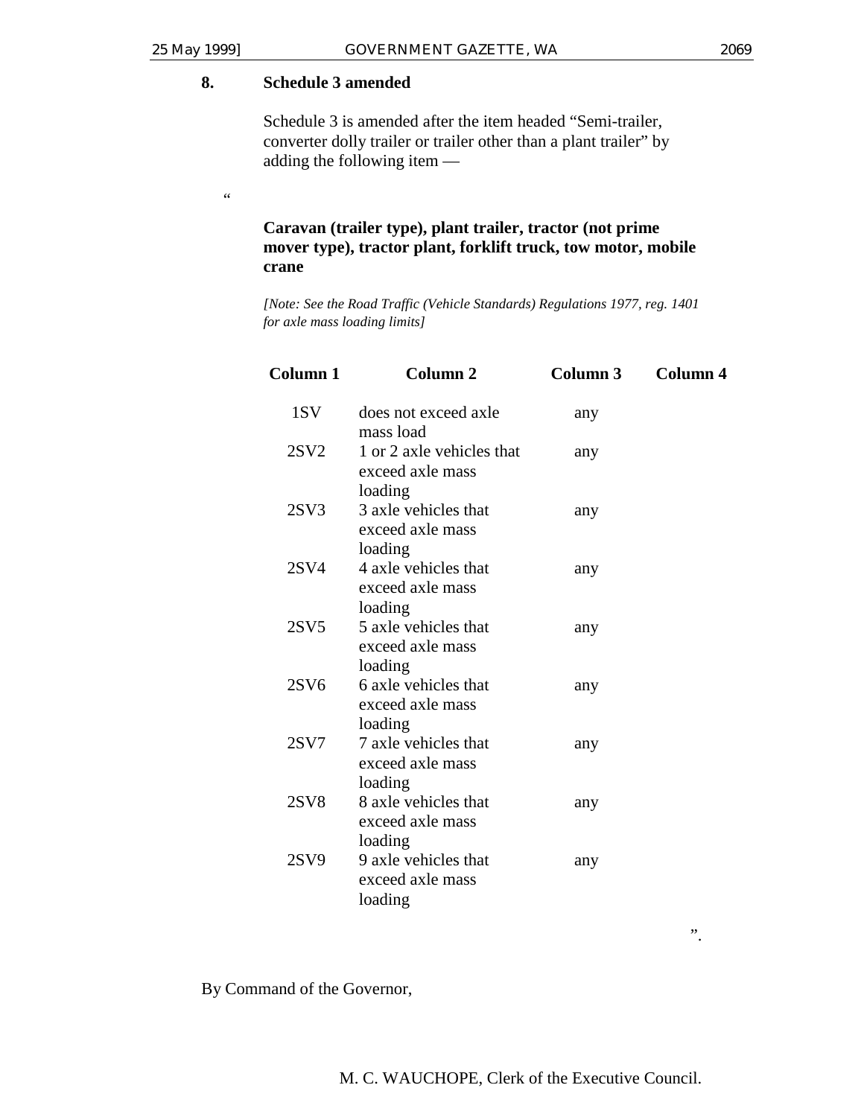$\zeta$   $\zeta$ 

## **8. Schedule 3 amended**

Schedule 3 is amended after the item headed "Semi-trailer, converter dolly trailer or trailer other than a plant trailer" by adding the following item —

## **Caravan (trailer type), plant trailer, tractor (not prime mover type), tractor plant, forklift truck, tow motor, mobile crane**

*[Note: See the Road Traffic (Vehicle Standards) Regulations 1977, reg. 1401 for axle mass loading limits]*

| Column <sub>1</sub> | Column <sub>2</sub>                                            | Column 3 | <b>Column 4</b> |
|---------------------|----------------------------------------------------------------|----------|-----------------|
| 1SV                 | does not exceed axle<br>mass load                              | any      |                 |
| 2SV2                | 1 or 2 axle vehicles that<br>exceed axle mass                  | any      |                 |
| 2SV3                | loading<br>3 axle vehicles that<br>exceed axle mass<br>loading | any      |                 |
| 2SV4                | 4 axle vehicles that<br>exceed axle mass<br>loading            | any      |                 |
| 2SV5                | 5 axle vehicles that<br>exceed axle mass<br>loading            | any      |                 |
| 2SV6                | 6 axle vehicles that<br>exceed axle mass<br>loading            | any      |                 |
| 2SV7                | 7 axle vehicles that<br>exceed axle mass<br>loading            | any      |                 |
| 2SV8                | 8 axle vehicles that<br>exceed axle mass<br>loading            | any      |                 |
| 2SV9                | 9 axle vehicles that<br>exceed axle mass<br>loading            | any      |                 |

".

By Command of the Governor,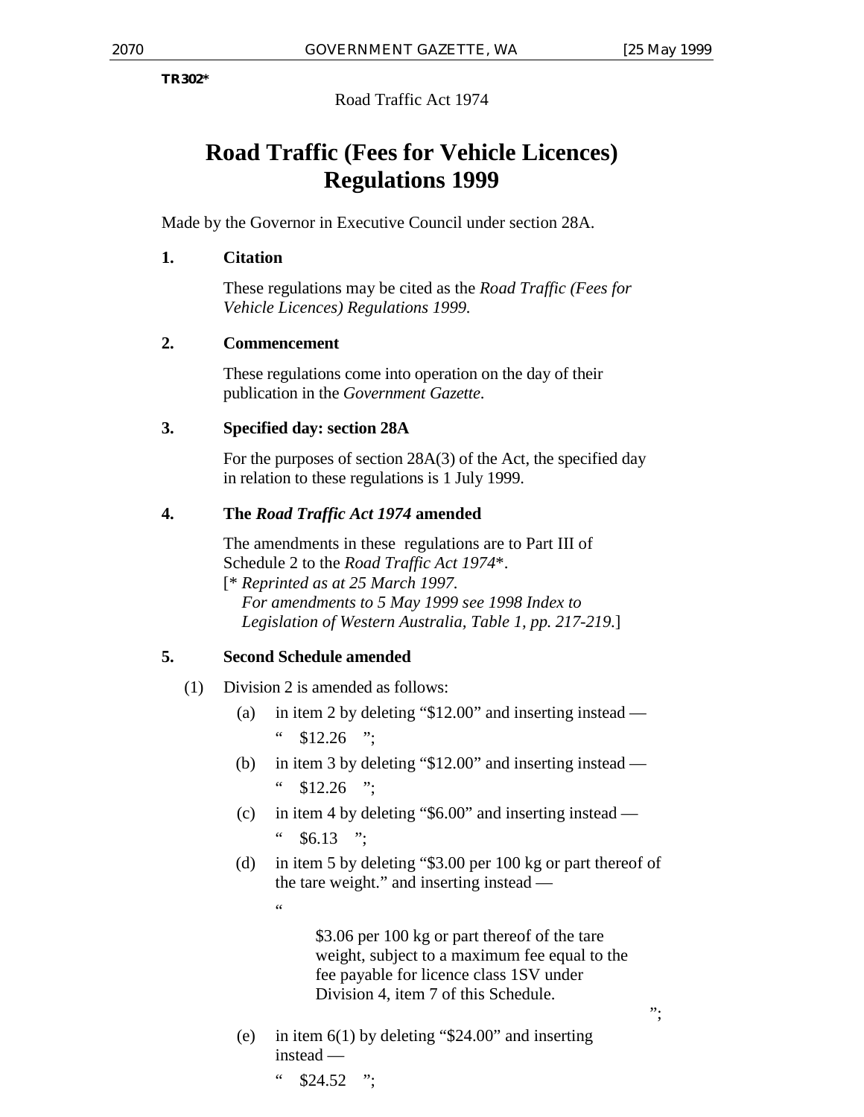**TR302\***

Road Traffic Act 1974

# **Road Traffic (Fees for Vehicle Licences) Regulations 1999**

Made by the Governor in Executive Council under section 28A.

## **1. Citation**

These regulations may be cited as the *Road Traffic (Fees for Vehicle Licences) Regulations 1999.*

## **2. Commencement**

These regulations come into operation on the day of their publication in the *Government Gazette*.

## **3. Specified day: section 28A**

For the purposes of section 28A(3) of the Act, the specified day in relation to these regulations is 1 July 1999.

## **4. The** *Road Traffic Act 1974* **amended**

The amendments in these regulations are to Part III of Schedule 2 to the *Road Traffic Act 1974*\*. [\* *Reprinted as at 25 March 1997.*

*For amendments to 5 May 1999 see 1998 Index to Legislation of Western Australia, Table 1, pp. 217-219*.]

## **5. Second Schedule amended**

 $\epsilon$ 

- (1) Division 2 is amended as follows:
	- (a) in item 2 by deleting "\$12.00" and inserting instead  $"$  \$12.26 ":
	- (b) in item 3 by deleting "\$12.00" and inserting instead  $\degree$  \$12.26 ":
	- (c) in item 4 by deleting "\$6.00" and inserting instead  $\degree$  \$6.13 ":
	- (d) in item 5 by deleting "\$3.00 per 100 kg or part thereof of the tare weight." and inserting instead —

\$3.06 per 100 kg or part thereof of the tare weight, subject to a maximum fee equal to the fee payable for licence class 1SV under Division 4, item 7 of this Schedule.

";

- (e) in item  $6(1)$  by deleting "\$24.00" and inserting instead —
	- $"$  \$24.52 ":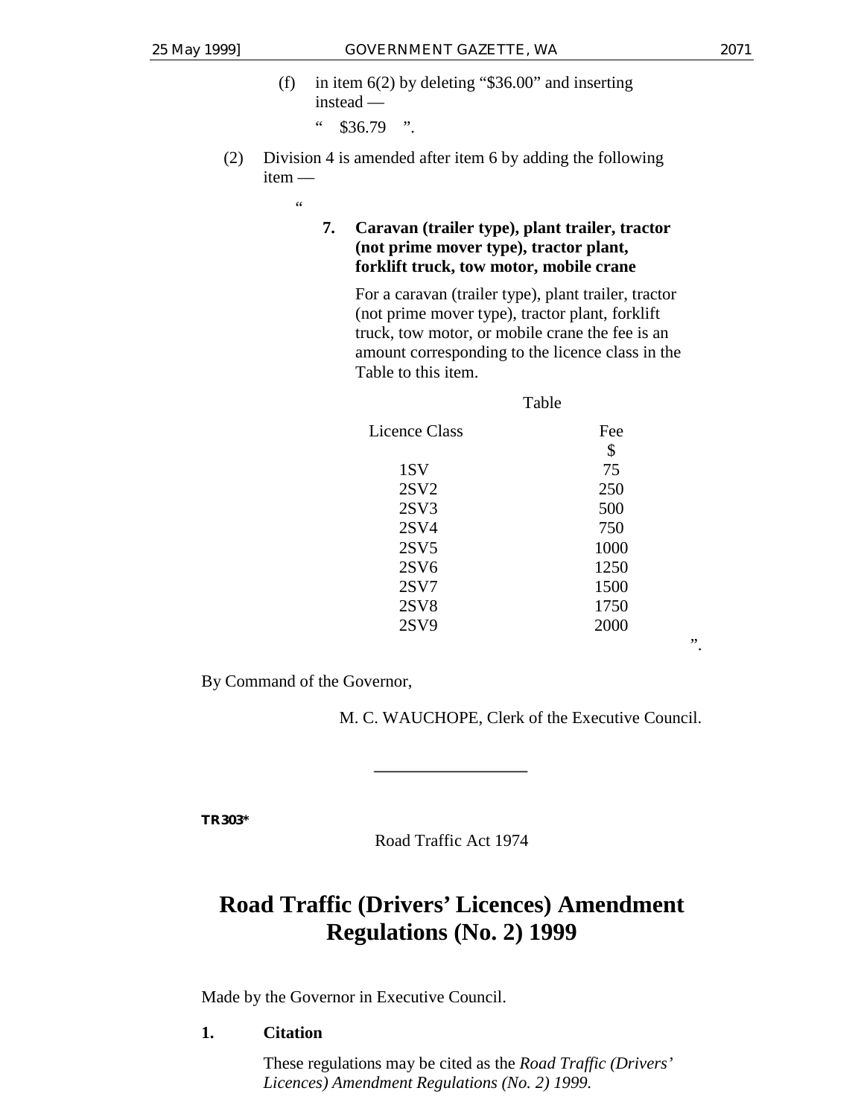".

- (f) in item  $6(2)$  by deleting "\$36.00" and inserting instead —  $\frac{1}{2}$  \$36.79 ".
- (2) Division 4 is amended after item 6 by adding the following item —

 $\epsilon$ 

## **7. Caravan (trailer type), plant trailer, tractor (not prime mover type), tractor plant, forklift truck, tow motor, mobile crane**

For a caravan (trailer type), plant trailer, tractor (not prime mover type), tractor plant, forklift truck, tow motor, or mobile crane the fee is an amount corresponding to the licence class in the Table to this item.

|               | Table |
|---------------|-------|
| Licence Class | Fee   |
|               | \$    |
| 1SV           | 75    |
| 2SV2          | 250   |
| 2SV3          | 500   |
| 2SV4          | 750   |
| 2SV5          | 1000  |
| 2SV6          | 1250  |
| 2SV7          | 1500  |
| 2SV8          | 1750  |
| 2SV9          | 2000  |
|               |       |

By Command of the Governor,

M. C. WAUCHOPE, Clerk of the Executive Council.

**TR303\***

Road Traffic Act 1974

# **Road Traffic (Drivers' Licences) Amendment Regulations (No. 2) 1999**

Made by the Governor in Executive Council.

## **1. Citation**

These regulations may be cited as the *Road Traffic (Drivers' Licences) Amendment Regulations (No. 2) 1999.*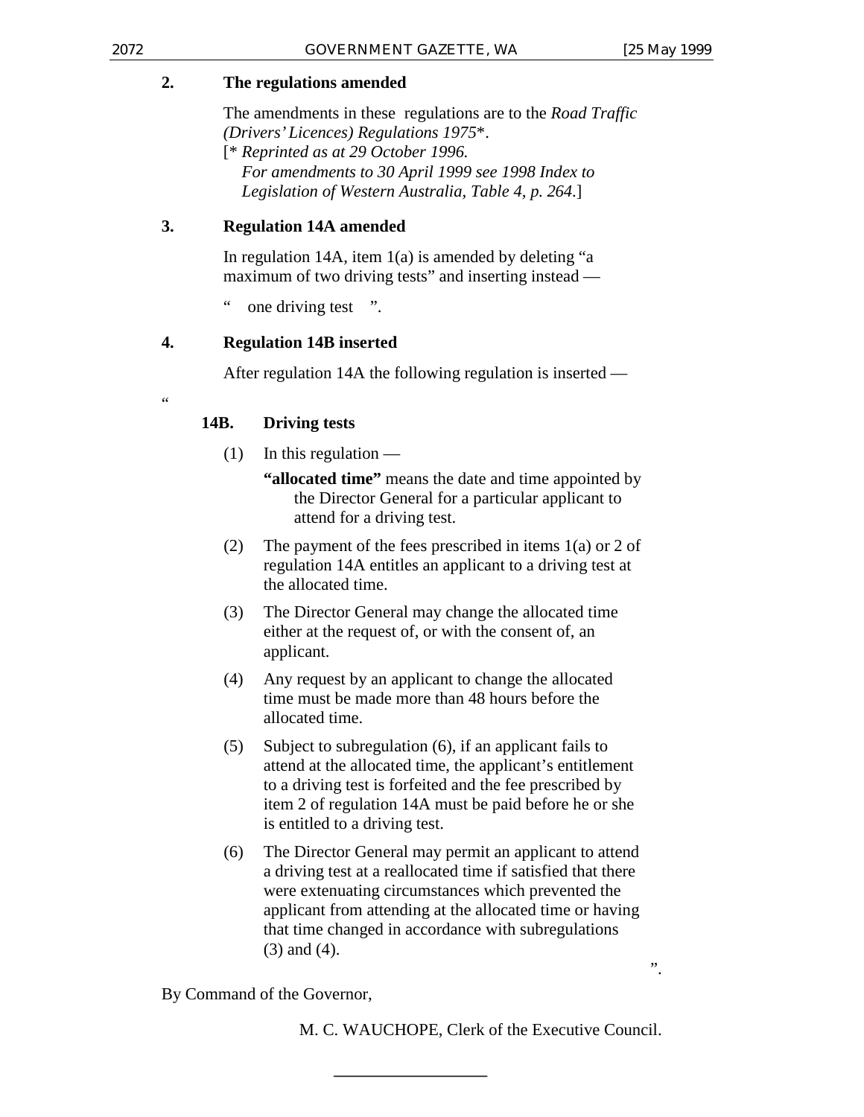## **2. The regulations amended**

The amendments in these regulations are to the *Road Traffic (Drivers' Licences) Regulations 1975*\*. [\* *Reprinted as at 29 October 1996. For amendments to 30 April 1999 see 1998 Index to Legislation of Western Australia, Table 4, p. 264*.]

## **3. Regulation 14A amended**

In regulation 14A, item  $1(a)$  is amended by deleting "a maximum of two driving tests" and inserting instead —

" one driving test ".

## **4. Regulation 14B inserted**

After regulation 14A the following regulation is inserted —

## **14B. Driving tests**

- $(1)$  In this regulation
	- **"allocated time"** means the date and time appointed by the Director General for a particular applicant to attend for a driving test.
- (2) The payment of the fees prescribed in items 1(a) or 2 of regulation 14A entitles an applicant to a driving test at the allocated time.
- (3) The Director General may change the allocated time either at the request of, or with the consent of, an applicant.
- (4) Any request by an applicant to change the allocated time must be made more than 48 hours before the allocated time.
- (5) Subject to subregulation (6), if an applicant fails to attend at the allocated time, the applicant's entitlement to a driving test is forfeited and the fee prescribed by item 2 of regulation 14A must be paid before he or she is entitled to a driving test.
- (6) The Director General may permit an applicant to attend a driving test at a reallocated time if satisfied that there were extenuating circumstances which prevented the applicant from attending at the allocated time or having that time changed in accordance with subregulations (3) and (4).

By Command of the Governor,

M. C. WAUCHOPE, Clerk of the Executive Council.

".

 $\epsilon$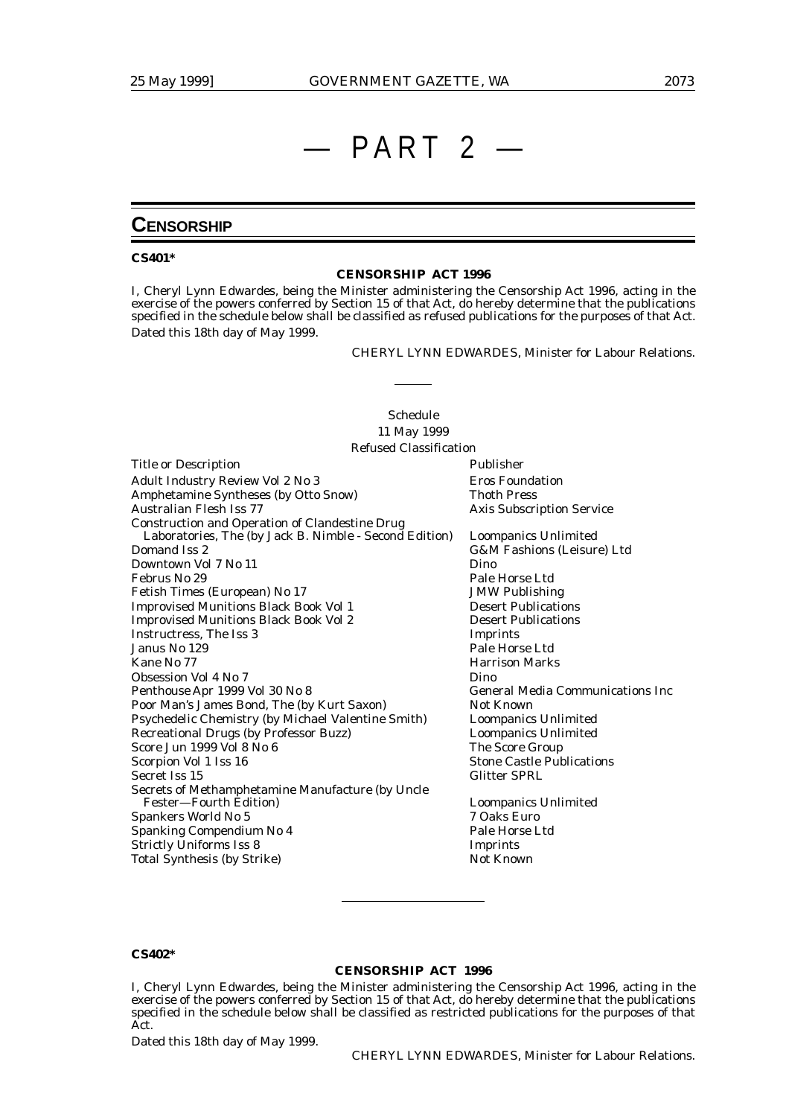# $-$  PART 2

## **CENSORSHIP**

#### **CS401\***

#### **CENSORSHIP ACT 1996**

I, Cheryl Lynn Edwardes, being the Minister administering the Censorship Act 1996, acting in the exercise of the powers conferred by Section 15 of that Act, do hereby determine that the publications specified in the schedule below shall be classified as refused publications for the purposes of that Act. Dated this 18th day of May 1999.

CHERYL LYNN EDWARDES, Minister for Labour Relations.

#### Schedule 11 May 1999 Refused Classification

| <b>Title or Description</b>                            | Publisher                               |
|--------------------------------------------------------|-----------------------------------------|
| Adult Industry Review Vol 2 No 3                       | <b>Eros Foundation</b>                  |
| Amphetamine Syntheses (by Otto Snow)                   | <b>Thoth Press</b>                      |
| Australian Flesh Iss 77                                | <b>Axis Subscription Service</b>        |
| <b>Construction and Operation of Clandestine Drug</b>  |                                         |
| Laboratories, The (by Jack B. Nimble - Second Edition) | <b>Loompanics Unlimited</b>             |
| Domand Iss 2                                           | G&M Fashions (Leisure) Ltd              |
| Downtown Vol 7 No 11                                   | Dino                                    |
| Februs No 29                                           | Pale Horse Ltd                          |
| Fetish Times (European) No 17                          | <b>JMW Publishing</b>                   |
| <b>Improvised Munitions Black Book Vol 1</b>           | <b>Desert Publications</b>              |
| <b>Improvised Munitions Black Book Vol 2</b>           | <b>Desert Publications</b>              |
| Instructress, The Iss 3                                | Imprints                                |
| Janus No 129                                           | Pale Horse Ltd                          |
| Kane No 77                                             | <b>Harrison Marks</b>                   |
| Obsession Vol 4 No 7                                   | Dino                                    |
| Penthouse Apr 1999 Vol 30 No 8                         | <b>General Media Communications Inc</b> |
| Poor Man's James Bond, The (by Kurt Saxon)             | Not Known                               |
| Psychedelic Chemistry (by Michael Valentine Smith)     | Loompanics Unlimited                    |
| Recreational Drugs (by Professor Buzz)                 | <b>Loompanics Unlimited</b>             |
| Score Jun 1999 Vol 8 No 6                              | The Score Group                         |
| Scorpion Vol 1 Iss 16                                  | <b>Stone Castle Publications</b>        |
| Secret Iss 15                                          | <b>Glitter SPRL</b>                     |
| Secrets of Methamphetamine Manufacture (by Uncle       |                                         |
| Fester-Fourth Edition)                                 | Loompanics Unlimited                    |
| Spankers World No 5                                    | 7 Oaks Euro                             |
| <b>Spanking Compendium No 4</b>                        | Pale Horse Ltd                          |
| <b>Strictly Uniforms Iss 8</b>                         | Imprints                                |
| <b>Total Synthesis (by Strike)</b>                     | <b>Not Known</b>                        |
|                                                        |                                         |

#### **CS402\***

#### **CENSORSHIP ACT 1996**

I, Cheryl Lynn Edwardes, being the Minister administering the Censorship Act 1996, acting in the exercise of the powers conferred by Section 15 of that Act, do hereby determine that the publications specified in the schedule below shall be classified as restricted publications for the purposes of that Act.

Dated this 18th day of May 1999.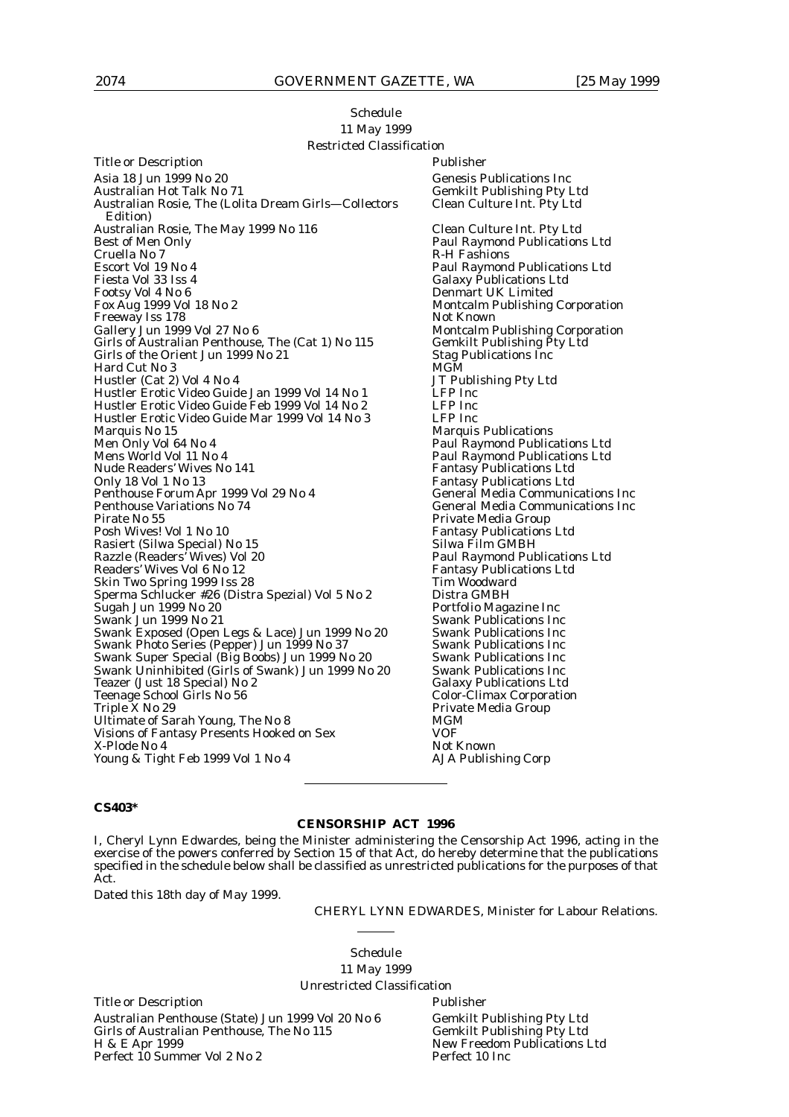#### Schedule 11 May 1999 Restricted Classification

Title or Description **Publisher** Asia 18 Jun 1999 No 20<br>
Australian Hot Talk No 71 Gemkilt Publishing Pty I Australian Rosie, The (Lolita Dream Girls-Collectors Edition) Australian Rosie, The May 1999 No 116 Clean Culture Int. Pty Ltd Best of Men Only Paul Raymond Publications Ltd<br>Cruella No 7 R-H Fashions Cruella No 7 (Cruella No 7 (Cruella No 7 (Cruella No 7 (Cruella No 7 (Cruella No 7 (Cruella No 7 (Cruella No 7 (Cruella No 7 (Cruella No 7 (Cruella No 7 (Cruella No 7 (Cruella No 7 (Cruella No 7 (Cruella No 7 (Cruella No 7 Escort Vol 19 No 4 Paul Raymond Publications Ltd<br>Fiesta Vol 33 Iss 4 Galaxy Publications Ltd Fiesta Vol 33 Iss 4 Galaxy Publications Ltd Footsy Vol 4 No 6 degree of the Denmart UK Limited Fox Aug 1999 Vol 18 No 2 Freeway Iss 178<br>Gallery Jun 1999 Vol 27 No 6 Girls of Australian Penthouse, The (Cat 1) No 115 Gemkilt Publishing P<br>Girls of the Orient Jun 1999 No 21 Stag Publications Inc Girls of the Orient Jun 1999 No 21 Stag 1<br>Hard Cut No 3 MGM Hard Cut No 3 MGM Hustler (Cat 2) Vol 4 No 4 1 JT Publishing Publishing Pty Ltd. 1 3 JT Publishing Pty Ltd. 1 4 No 1 1 2015 Hustler Erotic Video Guide Jan 1999 Vol 14 No 1 LFP Inc Hustler Erotic Video Guide Feb 1999 Vol 14 No 2 LFP Inc Hustler Erotic Video Guide Mar 1999 Vol 14 No 3<br>Marquis No 15 Marquis No 15 Marquis Publications<br>
Marquis Publications<br>
Marquis Publications<br>
Marquis Publications<br>
Paul Raymond Publications Men Only Vol 64 No 4 **Paul Raymond Publications Ltd**<br>Mens World Vol 11 No 4 **Paul Raymond Publications Ltd** Nude Readers' Wives No 141<br>Only 18 Vol 1 No 13 Penthouse Forum Apr 1999 Vol 29 No 4 General Media Communications Inc<br>Penthouse Variations No 74 General Media Communications Inc Penthouse Variations No 74 General Media Communications Inc<br>Pirate No 55 Private Media Group Pirate No 55<br>
Posh Wives! Vol 1 No 10<br>
Posh Wives! Vol 1 No 10 Rasiert (Silwa Special) No 15 Silwa Film GMBH Razzle (Readers' Wives) Vol 20 Paul Raymond Publications Ltd Readers' Wives Vol 6 No 12<br>
Skin Two Spring 1999 Iss 28<br>
Tim Woodward Skin Two Spring 1999 Iss 28 Sperma Schlucker #26 (Distra Spezial) Vol 5 No 2 Distra GMBH<br>Sugah Jun 1999 No 20 Portfolio Maga Sugah Jun 1999 No 20<br>
Swank Jun 1999 No 21<br>
Swank Publications Inc Swank Exposed (Open Legs & Lace) Jun 1999 No 20 Swank Publications Inc<br>Swank Photo Series (Pepper) Jun 1999 No 37 Swank Publications Inc Swank Photo Series (Pepper) Jun 1999 No 37 Swank Publications Inc<br>Swank Super Special (Big Boobs) Jun 1999 No 20 Swank Publications Inc Swank Super Special (Big Boobs) Jun 1999 No 20 Swank Publications Inc<br>Swank Uninhibited (Girls of Swank) Jun 1999 No 20 Swank Publications Inc Swank Uninhibited (Girls of Swank) Jun 1999 No 20 Teazer (Just 18 Special) No 2 Galaxy Publications Ltd<br>
Teenage School Girls No 56 Color-Climax Corporation Teenage School Girls No 56 Color-Climax Corporation Triple X No 29 Private Media Group Ultimate of Sarah Young, The No 8 MGM<br>Visions of Fantasy Presents Hooked on Sex MOF Visions of Fantasy Presents Hooked on Sex VOF<br>
X-Plode No 4 Not Known X-Plode No 4 Young & Tight Feb 1999 Vol 1 No 4 AJA Publishing Corp

Gemkilt Publishing Pty Ltd<br>Clean Culture Int. Pty Ltd Montcalm Publishing Corporation<br>Not Known Montcalm Publishing Corporation<br>Gemkilt Publishing Pty Ltd Paul Raymond Publications Ltd<br>Fantasy Publications Ltd Fantasy Publications Ltd Fantasy Publications Ltd<br>Silwa Film GMBH **Swank Publications Inc Swank Publications Inc** 

#### **CS403\***

### **CENSORSHIP ACT 1996**

I, Cheryl Lynn Edwardes, being the Minister administering the Censorship Act 1996, acting in the exercise of the powers conferred by Section 15 of that Act, do hereby determine that the publications specified in the schedule below shall be classified as unrestricted publications for the purposes of that Act.

Dated this 18th day of May 1999.

CHERYL LYNN EDWARDES, Minister for Labour Relations.

Schedule 11 May 1999 Unrestricted Classification

Title or Description **Publisher** Publisher Australian Penthouse (State) Jun 1999 Vol 20 No 6 Gemkilt Publishing Pty Ltd<br>Girls of Australian Penthouse, The No 115 Gemkilt Publishing Pty Ltd Girls of Australian Penthouse, The No 115 H & E Apr 1999 Perfect 10 Summer Vol 2 No 2

New Freedom Publications Ltd<br>Perfect 10 Inc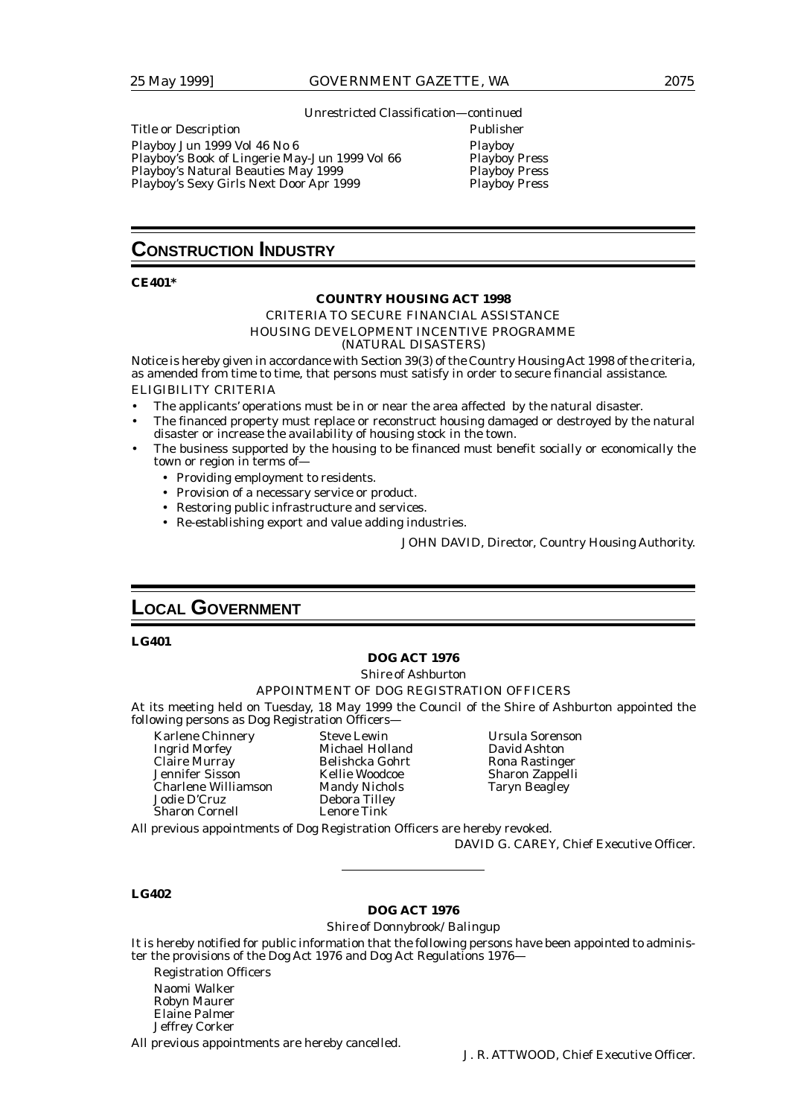Unrestricted Classification—*continued*

Title or Description **Publisher** 

Playboy Jun 1999 Vol 46 No 6 Playboy Playboy's Book of Lingerie May-Jun 1999 Vol 66 Playboy Press Playboy's Natural Beauties May 1999<br>Playboy's Sexy Girls Next Door Apr 1999 Playboy Press Playboy's Sexy Girls Next Door Apr 1999

## **CONSTRUCTION INDUSTRY**

#### **CE401\***

#### **COUNTRY HOUSING ACT 1998**

CRITERIA TO SECURE FINANCIAL ASSISTANCE HOUSING DEVELOPMENT INCENTIVE PROGRAMME (NATURAL DISASTERS)

Notice is hereby given in accordance with Section 39(3) of the Country Housing Act 1998 of the criteria, as amended from time to time, that persons must satisfy in order to secure financial assistance. ELIGIBILITY CRITERIA

- The applicants' operations must be in or near the area affected by the natural disaster.
- The financed property must replace or reconstruct housing damaged or destroyed by the natural disaster or increase the availability of housing stock in the town.
- The business supported by the housing to be financed must benefit socially or economically the town or region in terms of—
	- Providing employment to residents.
	- Provision of a necessary service or product.
	- Restoring public infrastructure and services.
	- Re-establishing export and value adding industries.

JOHN DAVID, Director, Country Housing Authority.

## **LOCAL GOVERNMENT**

#### **LG401**

#### **DOG ACT 1976**

*Shire of Ashburton*

#### APPOINTMENT OF DOG REGISTRATION OFFICERS

At its meeting held on Tuesday, 18 May 1999 the Council of the Shire of Ashburton appointed the following persons as Dog Registration Officers—

Karlene Chinnery Steve Lewin Ursula Sorenson<br>
1991 - Steve Lewin Ursula Sorenson<br>
1991 - Michael Holland David Ashton Claire Murray Belishcka Gohrt Rona Rastinger Charlene Williamson Mandy Nichols Taryn Beagley Jodie D'Cruz Debora Tilley Sharon Cornell

Michael Holland Kellie Woodcoe Sharon Zappelli<br>Mandy Nichols Taryn Beagley

All previous appointments of Dog Registration Officers are hereby revoked.

DAVID G. CAREY, Chief Executive Officer.

#### **LG402**

#### **DOG ACT 1976**

#### *Shire of Donnybrook/Balingup*

It is hereby notified for public information that the following persons have been appointed to administer the provisions of the Dog Act 1976 and Dog Act Regulations 1976—

Registration Officers Naomi Walker Robyn Maurer Elaine Palmer Jeffrey Corker

All previous appointments are hereby cancelled.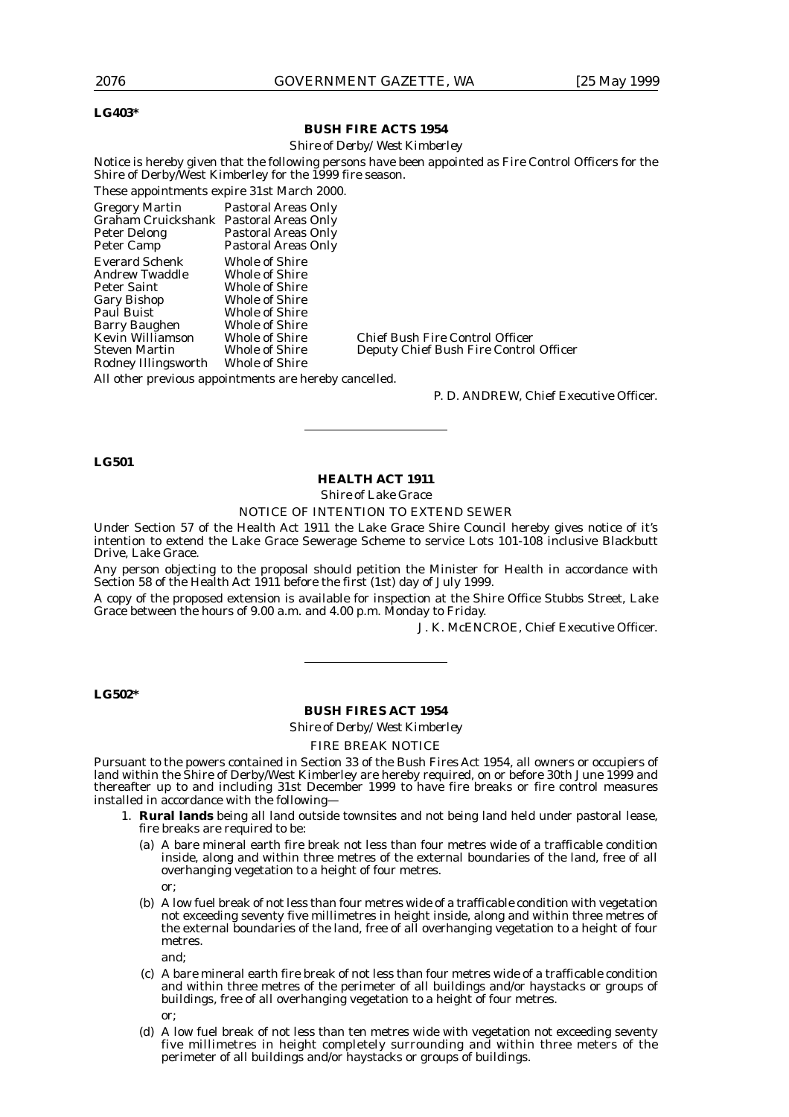#### **LG403\***

#### **BUSH FIRE ACTS 1954**

#### *Shire of Derby/West Kimberley*

Notice is hereby given that the following persons have been appointed as Fire Control Officers for the Shire of Derby/West Kimberley for the 1999 fire season.

These appointments expire 31st March 2000.

| <b>Gregory Martin</b>                  | Pastoral Areas Only   |                                        |
|----------------------------------------|-----------------------|----------------------------------------|
| Graham Cruickshank Pastoral Areas Only |                       |                                        |
| Peter Delong                           | Pastoral Areas Only   |                                        |
| Peter Camp                             | Pastoral Areas Only   |                                        |
| <b>Everard Schenk</b>                  | <b>Whole of Shire</b> |                                        |
| <b>Andrew Twaddle</b>                  | <b>Whole of Shire</b> |                                        |
| Peter Saint                            | <b>Whole of Shire</b> |                                        |
| <b>Gary Bishop</b>                     | Whole of Shire        |                                        |
| Paul Buist                             | <b>Whole of Shire</b> |                                        |
| <b>Barry Baughen</b>                   | <b>Whole of Shire</b> |                                        |
| Kevin Williamson                       | <b>Whole of Shire</b> | <b>Chief Bush Fire Control Officer</b> |
| <b>Steven Martin</b>                   | <b>Whole of Shire</b> | Deputy Chief Bush Fire Control Officer |
| Rodney Illingsworth                    | <b>Whole of Shire</b> |                                        |

All other previous appointments are hereby cancelled.

P. D. ANDREW, Chief Executive Officer.

#### **LG501**

#### **HEALTH ACT 1911**

*Shire of Lake Grace*

NOTICE OF INTENTION TO EXTEND SEWER

Under Section 57 of the Health Act 1911 the Lake Grace Shire Council hereby gives notice of it's intention to extend the Lake Grace Sewerage Scheme to service Lots 101-108 inclusive Blackbutt Drive, Lake Grace.

Any person objecting to the proposal should petition the Minister for Health in accordance with Section 58 of the Health Act 1911 before the first (1st) day of July 1999.

A copy of the proposed extension is available for inspection at the Shire Office Stubbs Street, Lake Grace between the hours of 9.00 a.m. and 4.00 p.m. Monday to Friday.

J. K. McENCROE, Chief Executive Officer.

#### **LG502\***

#### **BUSH FIRES ACT 1954**

*Shire of Derby/West Kimberley*

FIRE BREAK NOTICE

Pursuant to the powers contained in Section 33 of the Bush Fires Act 1954, all owners or occupiers of land within the Shire of Derby/West Kimberley are hereby required, on or before 30th June 1999 and thereafter up to and including 31st December 1999 to have fire breaks or fire control measures installed in accordance with the following—

- 1. **Rural lands** being all land outside townsites and not being land held under pastoral lease, fire breaks are required to be:
	- (a) A bare mineral earth fire break not less than four metres wide of a trafficable condition inside, along and within three metres of the external boundaries of the land, free of all overhanging vegetation to a height of four metres. or;
	- (b) A low fuel break of not less than four metres wide of a trafficable condition with vegetation not exceeding seventy five millimetres in height inside, along and within three metres of the external boundaries of the land, free of all overhanging vegetation to a height of four metres.

and;

- (c) A bare mineral earth fire break of not less than four metres wide of a trafficable condition and within three metres of the perimeter of all buildings and/or haystacks or groups of buildings, free of all overhanging vegetation to a height of four metres. or;
- (d) A low fuel break of not less than ten metres wide with vegetation not exceeding seventy five millimetres in height completely surrounding and within three meters of the perimeter of all buildings and/or haystacks or groups of buildings.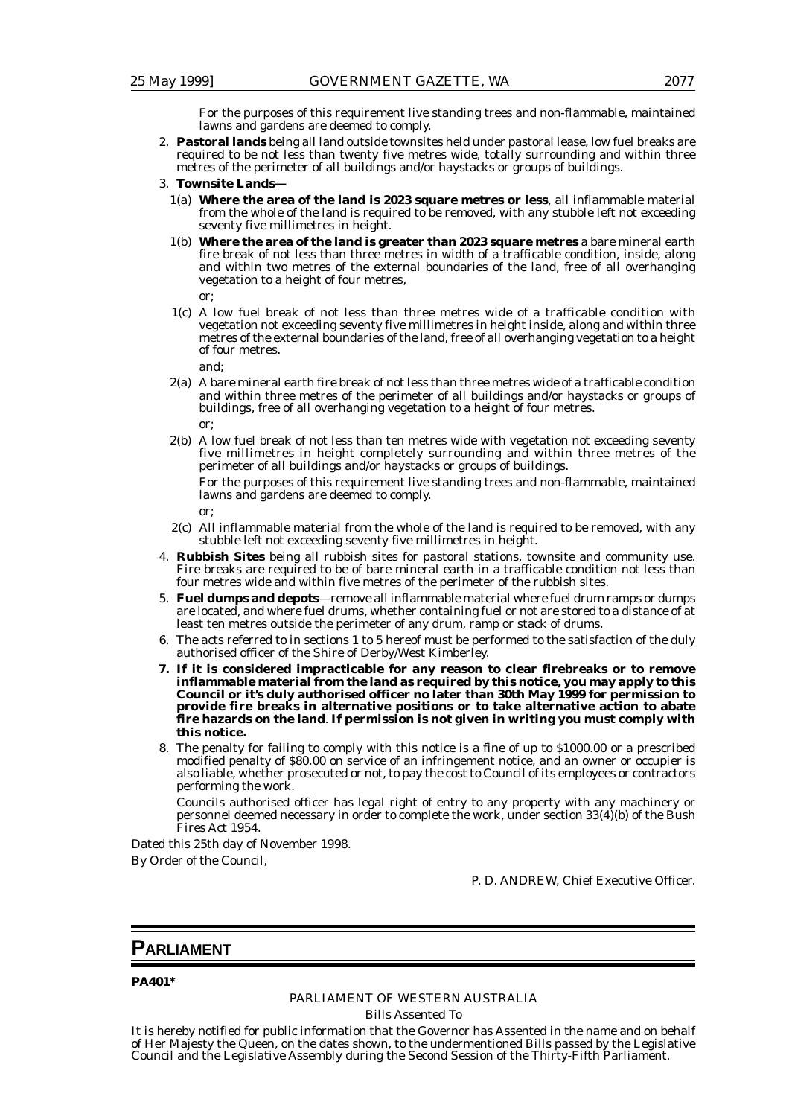For the purposes of this requirement live standing trees and non-flammable, maintained lawns and gardens are deemed to comply.

- 2. **Pastoral lands** being all land outside townsites held under pastoral lease, low fuel breaks are required to be not less than twenty five metres wide, totally surrounding and within three metres of the perimeter of all buildings and/or haystacks or groups of buildings.
- 3. **Townsite Lands—**
	- 1(a) **Where the area of the land is 2023 square metres or less**, all inflammable material from the whole of the land is required to be removed, with any stubble left not exceeding seventy five millimetres in height.
	- 1(b) **Where the area of the land is greater than 2023 square metres** a bare mineral earth fire break of not less than three metres in width of a trafficable condition, inside, along and within two metres of the external boundaries of the land, free of all overhanging vegetation to a height of four metres,

or;

1(c) A low fuel break of not less than three metres wide of a trafficable condition with vegetation not exceeding seventy five millimetres in height inside, along and within three metres of the external boundaries of the land, free of all overhanging vegetation to a height of four metres.

and;

- 2(a) A bare mineral earth fire break of not less than three metres wide of a trafficable condition and within three metres of the perimeter of all buildings and/or haystacks or groups of buildings, free of all overhanging vegetation to a height of four metres. or;
- 2(b) A low fuel break of not less than ten metres wide with vegetation not exceeding seventy five millimetres in height completely surrounding and within three metres of the perimeter of all buildings and/or haystacks or groups of buildings.

For the purposes of this requirement live standing trees and non-flammable, maintained lawns and gardens are deemed to comply.

or;

- 2(c) All inflammable material from the whole of the land is required to be removed, with any stubble left not exceeding seventy five millimetres in height.
- 4. **Rubbish Sites** being all rubbish sites for pastoral stations, townsite and community use. Fire breaks are required to be of bare mineral earth in a trafficable condition not less than four metres wide and within five metres of the perimeter of the rubbish sites.
- 5. **Fuel dumps and depots**—remove all inflammable material where fuel drum ramps or dumps are located, and where fuel drums, whether containing fuel or not are stored to a distance of at least ten metres outside the perimeter of any drum, ramp or stack of drums.
- 6. The acts referred to in sections 1 to 5 hereof must be performed to the satisfaction of the duly authorised officer of the Shire of Derby/West Kimberley.
- **7. If it is considered impracticable for any reason to clear firebreaks or to remove inflammable material from the land as required by this notice, you may apply to this Council or it's duly authorised officer no later than 30th May 1999 for permission to provide fire breaks in alternative positions or to take alternative action to abate fire hazards on the land**. **If permission is not given in writing you must comply with this notice.**
- 8. The penalty for failing to comply with this notice is a fine of up to \$1000.00 or a prescribed modified penalty of \$80.00 on service of an infringement notice, and an owner or occupier is also liable, whether prosecuted or not, to pay the cost to Council of its employees or contractors performing the work.

Councils authorised officer has legal right of entry to any property with any machinery or personnel deemed necessary in order to complete the work, under section 33(4)(b) of the Bush Fires Act 1954.

Dated this 25th day of November 1998. By Order of the Council,

P. D. ANDREW, Chief Executive Officer.

## **PARLIAMENT**

**PA401\***

# PARLIAMENT OF WESTERN AUSTRALIA

Bills Assented To

It is hereby notified for public information that the Governor has Assented in the name and on behalf of Her Majesty the Queen, on the dates shown, to the undermentioned Bills passed by the Legislative Council and the Legislative Assembly during the Second Session of the Thirty-Fifth Parliament.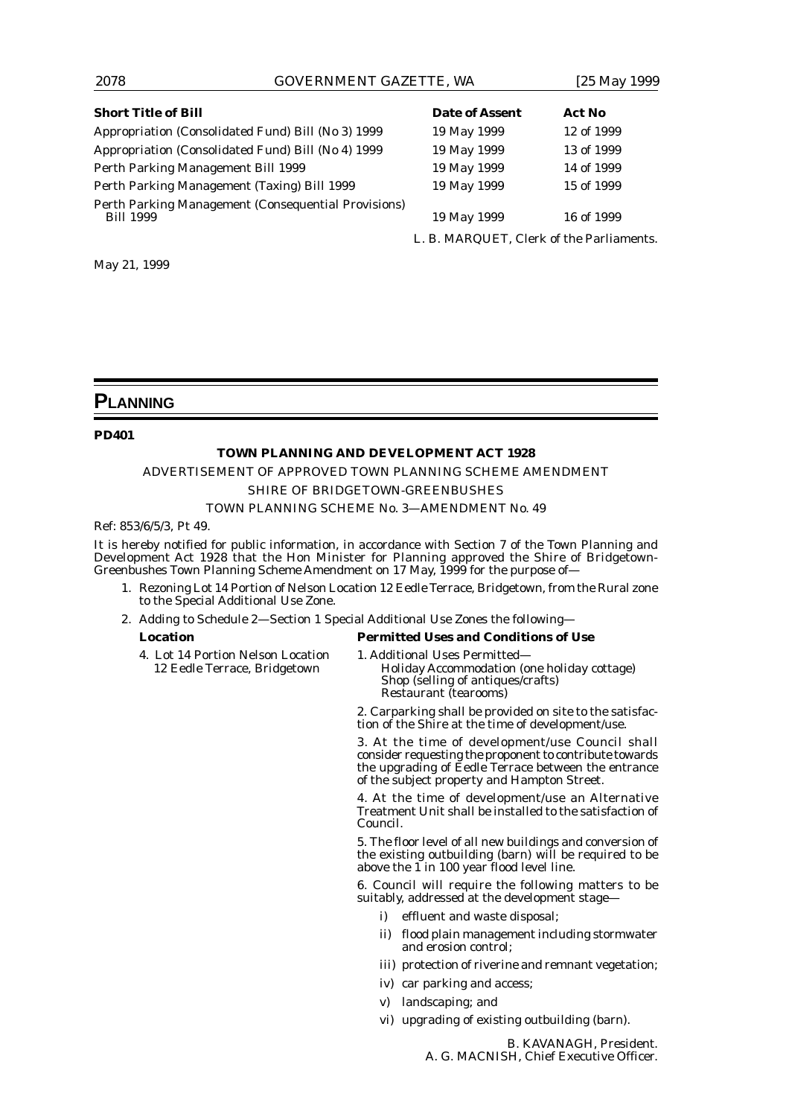## 2078 GOVERNMENT GAZETTE, WA [25 May 1999

| <b>Short Title of Bill</b>                                              | <b>Date of Assent</b>                    | Act No     |
|-------------------------------------------------------------------------|------------------------------------------|------------|
| Appropriation (Consolidated Fund) Bill (No 3) 1999                      | 19 May 1999                              | 12 of 1999 |
| Appropriation (Consolidated Fund) Bill (No 4) 1999                      | 19 May 1999                              | 13 of 1999 |
| Perth Parking Management Bill 1999                                      | 19 May 1999                              | 14 of 1999 |
| Perth Parking Management (Taxing) Bill 1999                             | 19 May 1999                              | 15 of 1999 |
| Perth Parking Management (Consequential Provisions)<br><b>Bill 1999</b> | 19 May 1999                              | 16 of 1999 |
|                                                                         | L. B. MARQUET, Clerk of the Parliaments. |            |

May 21, 1999

## **PLANNING**

#### **PD401**

#### **TOWN PLANNING AND DEVELOPMENT ACT 1928**

ADVERTISEMENT OF APPROVED TOWN PLANNING SCHEME AMENDMENT

## *SHIRE OF BRIDGETOWN-GREENBUSHES*

#### TOWN PLANNING SCHEME No. 3—AMENDMENT No. 49

Ref: 853/6/5/3, Pt 49.

It is hereby notified for public information, in accordance with Section 7 of the Town Planning and Development Act 1928 that the Hon Minister for Planning approved the Shire of Bridgetown-Greenbushes Town Planning Scheme Amendment on 17 May, 1999 for the purpose of—

- 1. Rezoning Lot 14 Portion of Nelson Location 12 Eedle Terrace, Bridgetown, from the Rural zone to the Special Additional Use Zone.
- 2. Adding to Schedule 2—Section 1 Special Additional Use Zones the following—

## **Location Permitted Uses and Conditions of Use**

4. Lot 14 Portion Nelson Location 1. Additional Uses Permitted-<br>12 Eedle Terrace, Bridgetown Holiday Accommodation (

Holiday Accommodation (one holiday cottage) Shop (selling of antiques/crafts) Restaurant (tearooms)

2. Carparking shall be provided on site to the satisfaction of the Shire at the time of development/use.

3. At the time of development/use Council shall consider requesting the proponent to contribute towards the upgrading of Eedle Terrace between the entrance of the subject property and Hampton Street.

4. At the time of development/use an Alternative Treatment Unit shall be installed to the satisfaction of Council.

5. The floor level of all new buildings and conversion of the existing outbuilding (barn) will be required to be above the  $1$  in 100 year flood level line.

6. Council will require the following matters to be suitably, addressed at the development stage—

- effluent and waste disposal;
- ii) flood plain management including stormwater and erosion control;
- iii) protection of riverine and remnant vegetation;
- iv) car parking and access;
- v) landscaping; and
- vi) upgrading of existing outbuilding (barn).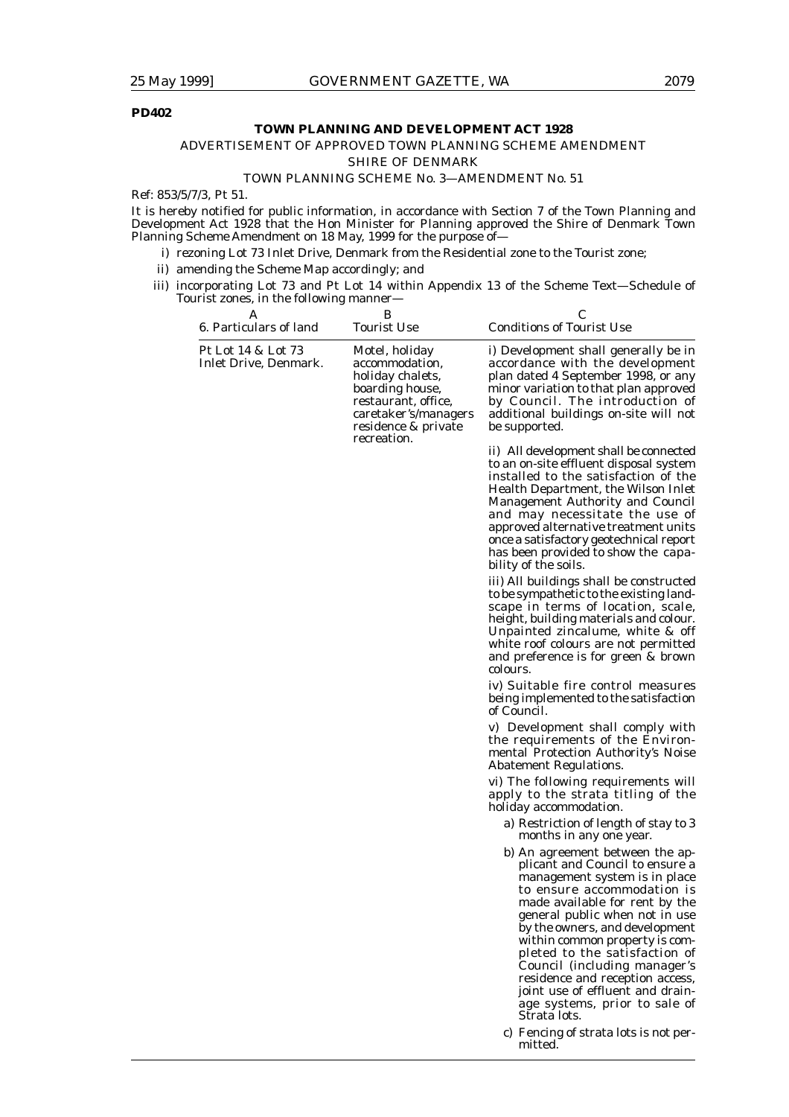## **PD402**

#### **TOWN PLANNING AND DEVELOPMENT ACT 1928**

## ADVERTISEMENT OF APPROVED TOWN PLANNING SCHEME AMENDMENT

*SHIRE OF DENMARK*

#### TOWN PLANNING SCHEME No. 3—AMENDMENT No. 51

Ref: 853/5/7/3, Pt 51.

It is hereby notified for public information, in accordance with Section 7 of the Town Planning and Development Act 1928 that the Hon Minister for Planning approved the Shire of Denmark Town Planning Scheme Amendment on 18 May, 1999 for the purpose of—

- i) rezoning Lot 73 Inlet Drive, Denmark from the Residential zone to the Tourist zone;
- ii) amending the Scheme Map accordingly; and
- iii) incorporating Lot 73 and Pt Lot 14 within Appendix 13 of the Scheme Text—Schedule of Tourist zones, in the following manner—

| Α<br>6. Particulars of land                 | В<br><b>Tourist Use</b>                                                                                                                                      | С<br><b>Conditions of Tourist Use</b>                                                                                                                                                                                                                                                                                                                                                                                                                              |
|---------------------------------------------|--------------------------------------------------------------------------------------------------------------------------------------------------------------|--------------------------------------------------------------------------------------------------------------------------------------------------------------------------------------------------------------------------------------------------------------------------------------------------------------------------------------------------------------------------------------------------------------------------------------------------------------------|
| Pt Lot 14 & Lot 73<br>Inlet Drive, Denmark. | Motel, holiday<br>accommodation,<br>holiday chalets,<br>boarding house,<br>restaurant, office,<br>caretaker's/managers<br>residence & private<br>recreation. | i) Development shall generally be in<br>accordance with the development<br>plan dated 4 September 1998, or any<br>minor variation to that plan approved<br>by Council. The introduction of<br>additional buildings on-site will not<br>be supported.                                                                                                                                                                                                               |
|                                             |                                                                                                                                                              | ii) All development shall be connected<br>to an on-site effluent disposal system<br>installed to the satisfaction of the<br>Health Department, the Wilson Inlet<br>Management Authority and Council<br>and may necessitate the use of<br>approved alternative treatment units<br>once a satisfactory geotechnical report<br>has been provided to show the capa-<br>bility of the soils.                                                                            |
|                                             |                                                                                                                                                              | iii) All buildings shall be constructed<br>to be sympathetic to the existing land-<br>scape in terms of location, scale,<br>height, building materials and colour.<br>Unpainted zincalume, white & off<br>white roof colours are not permitted<br>and preference is for green & brown<br>colours.                                                                                                                                                                  |
|                                             |                                                                                                                                                              | iv) Suitable fire control measures<br>being implemented to the satisfaction<br>of Council.                                                                                                                                                                                                                                                                                                                                                                         |
|                                             |                                                                                                                                                              | v) Development shall comply with<br>the requirements of the Environ-<br>mental Protection Authority's Noise<br><b>Abatement Regulations.</b>                                                                                                                                                                                                                                                                                                                       |
|                                             |                                                                                                                                                              | vi) The following requirements will<br>apply to the strata titling of the<br>holiday accommodation.                                                                                                                                                                                                                                                                                                                                                                |
|                                             |                                                                                                                                                              | a) Restriction of length of stay to 3<br>months in any one year.                                                                                                                                                                                                                                                                                                                                                                                                   |
|                                             |                                                                                                                                                              | b) An agreement between the ap-<br>plicant and Council to ensure a<br>management system is in place<br>to ensure accommodation is<br>made available for rent by the<br>general public when not in use<br>by the owners, and development<br>within common property is com-<br>pleted to the satisfaction of<br>Council (including manager's<br>residence and reception access,<br>joint use of effluent and drain-<br>age systems, prior to sale of<br>Strata lots. |
|                                             |                                                                                                                                                              | c) Fencing of strata lots is not per-<br>mitted.                                                                                                                                                                                                                                                                                                                                                                                                                   |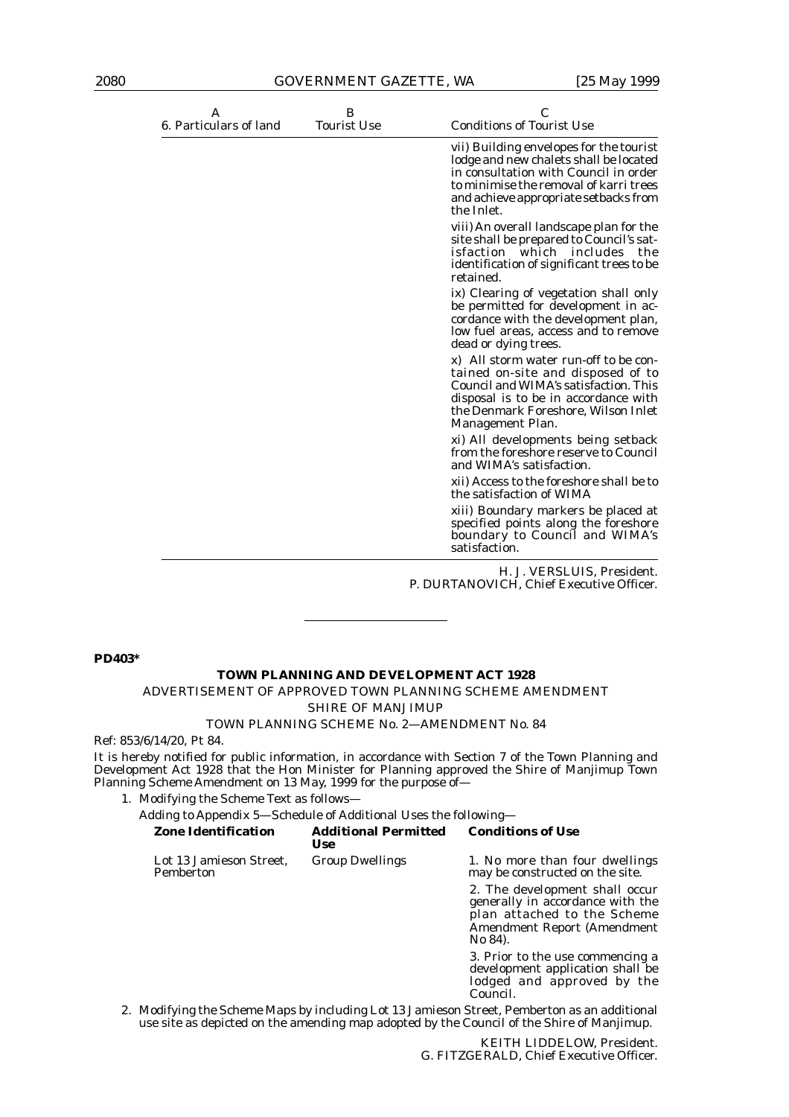| A<br>6. Particulars of land | B<br><b>Tourist Use</b> | C<br><b>Conditions of Tourist Use</b>                                                                                                                                                                                       |
|-----------------------------|-------------------------|-----------------------------------------------------------------------------------------------------------------------------------------------------------------------------------------------------------------------------|
|                             |                         | vii) Building envelopes for the tourist<br>lodge and new chalets shall be located<br>in consultation with Council in order<br>to minimise the removal of karri trees<br>and achieve appropriate setbacks from<br>the Inlet. |
|                             |                         | viii) An overall landscape plan for the<br>site shall be prepared to Council's sat-<br>isfaction which includes the<br>identification of significant trees to be<br>retained.                                               |
|                             |                         | ix) Clearing of vegetation shall only<br>be permitted for development in ac-<br>cordance with the development plan,<br>low fuel areas, access and to remove<br>dead or dying trees.                                         |
|                             |                         | x) All storm water run-off to be con-<br>tained on-site and disposed of to<br>Council and WIMA's satisfaction. This<br>disposal is to be in accordance with<br>the Denmark Foreshore, Wilson Inlet<br>Management Plan.      |
|                             |                         | xi) All developments being setback<br>from the foreshore reserve to Council<br>and WIMA's satisfaction.                                                                                                                     |
|                             |                         | xii) Access to the foreshore shall be to<br>the satisfaction of WIMA                                                                                                                                                        |
|                             |                         | xiii) Boundary markers be placed at<br>specified points along the foreshore<br>boundary to Council and WIMA's<br>satisfaction.                                                                                              |
|                             |                         | H. J. VERSLUIS. President.                                                                                                                                                                                                  |

H. J. VERSLUIS, President. P. DURTANOVICH, Chief Executive Officer.

#### **PD403\***

## **TOWN PLANNING AND DEVELOPMENT ACT 1928**

## ADVERTISEMENT OF APPROVED TOWN PLANNING SCHEME AMENDMENT

*SHIRE OF MANJIMUP*

#### TOWN PLANNING SCHEME No. 2—AMENDMENT No. 84

Ref: 853/6/14/20, Pt 84.

It is hereby notified for public information, in accordance with Section 7 of the Town Planning and Development Act 1928 that the Hon Minister for Planning approved the Shire of Manjimup Town Planning Scheme Amendment on 13 May, 1999 for the purpose of-

1. Modifying the Scheme Text as follows—

Adding to Appendix 5—Schedule of Additional Uses the following—

|  | <b>Zone Identification</b>           | <b>Additional Permitted</b><br><b>Use</b> | <b>Conditions of Use</b>                                                                                                                    |  |
|--|--------------------------------------|-------------------------------------------|---------------------------------------------------------------------------------------------------------------------------------------------|--|
|  | Lot 13 Jamieson Street.<br>Pemberton | <b>Group Dwellings</b>                    | 1. No more than four dwellings<br>may be constructed on the site.                                                                           |  |
|  |                                      |                                           | 2. The development shall occur<br>generally in accordance with the<br>plan attached to the Scheme<br>Amendment Report (Amendment<br>No 84). |  |
|  |                                      |                                           | 3. Prior to the use commencing a<br>development application shall be<br>lodged and approved by the<br>Council.                              |  |
|  |                                      |                                           | Modifying the Ceheme Mans by including Let 19, Jamieson Ctreet, Demberten as an additional                                                  |  |

2. Modifying the Scheme Maps by including Lot 13 Jamieson Street, Pemberton as an additional use site as depicted on the amending map adopted by the Council of the Shire of Manjimup.

> KEITH LIDDELOW, President. G. FITZGERALD, Chief Executive Officer.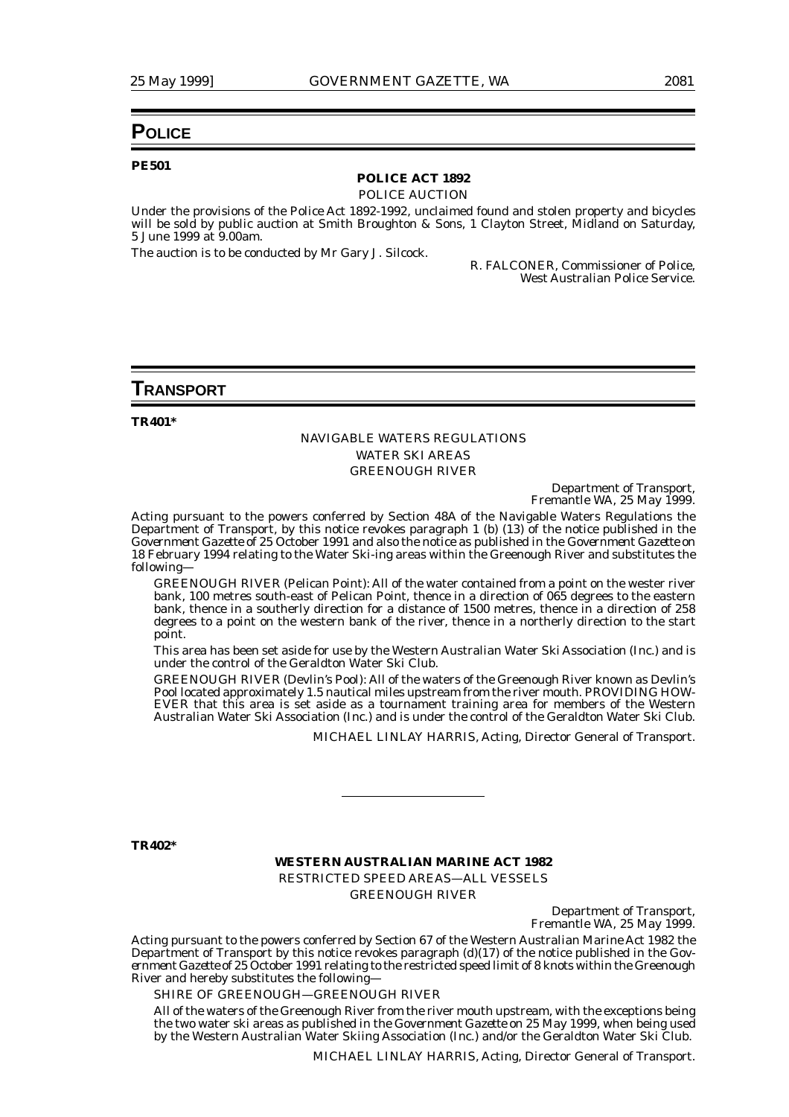## **POLICE**

#### **PE501**

## **POLICE ACT 1892**

POLICE AUCTION

Under the provisions of the Police Act 1892-1992, unclaimed found and stolen property and bicycles will be sold by public auction at Smith Broughton & Sons, 1 Clayton Street, Midland on Saturday, 5 June 1999 at 9.00am.

The auction is to be conducted by Mr Gary J. Silcock.

R. FALCONER, Commissioner of Police, West Australian Police Service.

### **TRANSPORT**

**TR401\***

#### NAVIGABLE WATERS REGULATIONS WATER SKI AREAS GREENOUGH RIVER

Department of Transport, Fremantle WA, 25 May 1999.

Acting pursuant to the powers conferred by Section 48A of the Navigable Waters Regulations the Department of Transport, by this notice revokes paragraph 1 (b) (13) of the notice published in the *Government Gazette* of 25 October 1991 and also the notice as published in the *Government Gazette* on 18 February 1994 relating to the Water Ski-ing areas within the Greenough River and substitutes the following—

GREENOUGH RIVER (Pelican Point): All of the water contained from a point on the wester river bank, 100 metres south-east of Pelican Point, thence in a direction of 065 degrees to the eastern bank, thence in a southerly direction for a distance of 1500 metres, thence in a direction of 258 degrees to a point on the western bank of the river, thence in a northerly direction to the start point.

This area has been set aside for use by the Western Australian Water Ski Association (Inc.) and is under the control of the Geraldton Water Ski Club.

GREENOUGH RIVER (Devlin's Pool): All of the waters of the Greenough River known as Devlin's Pool located approximately 1.5 nautical miles upstream from the river mouth. PROVIDING HOW-EVER that this area is set aside as a tournament training area for members of the Western Australian Water Ski Association (Inc.) and is under the control of the Geraldton Water Ski Club.

MICHAEL LINLAY HARRIS, Acting, Director General of Transport.

**TR402\***

#### **WESTERN AUSTRALIAN MARINE ACT 1982** RESTRICTED SPEED AREAS—ALL VESSELS GREENOUGH RIVER

Department of Transport, Fremantle WA, 25 May 1999.

Acting pursuant to the powers conferred by Section 67 of the Western Australian Marine Act 1982 the Department of Transport by this notice revokes paragraph (d)(17) of the notice published in the *Government Gazette* of 25 October 1991 relating to the restricted speed limit of 8 knots within the Greenough River and hereby substitutes the following—

#### SHIRE OF GREENOUGH—GREENOUGH RIVER

All of the waters of the Greenough River from the river mouth upstream, with the exceptions being the two water ski areas as published in the *Government Gazette* on 25 May 1999, when being used by the Western Australian Water Skiing Association (Inc.) and/or the Geraldton Water Ski Club.

MICHAEL LINLAY HARRIS, Acting, Director General of Transport.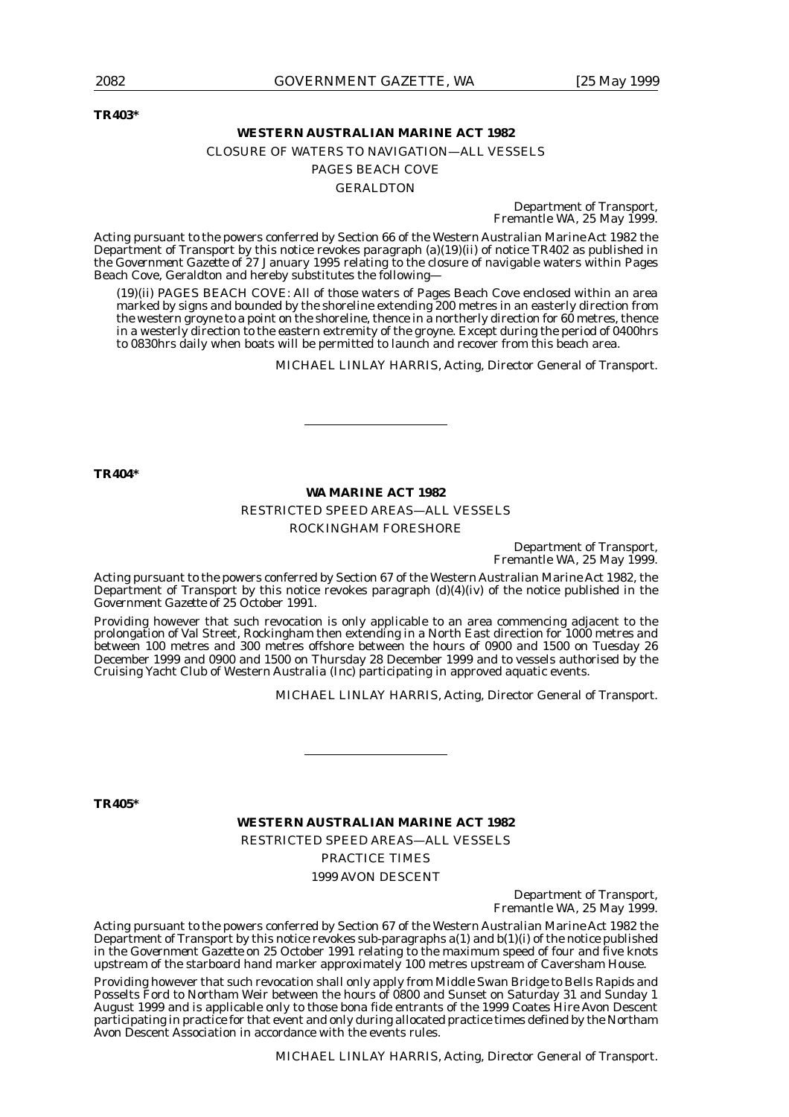**TR403\***

#### **WESTERN AUSTRALIAN MARINE ACT 1982**

## CLOSURE OF WATERS TO NAVIGATION—ALL VESSELS PAGES BEACH COVE

GERALDTON

Department of Transport, Fremantle WA, 25 May 1999.

Acting pursuant to the powers conferred by Section 66 of the Western Australian Marine Act 1982 the Department of Transport by this notice revokes paragraph (a)(19)(ii) of notice TR402 as published in the *Government Gazette* of 27 January 1995 relating to the closure of navigable waters within Pages Beach Cove, Geraldton and hereby substitutes the following—

(19)(ii) PAGES BEACH COVE: All of those waters of Pages Beach Cove enclosed within an area marked by signs and bounded by the shoreline extending 200 metres in an easterly direction from the western groyne to a point on the shoreline, thence in a northerly direction for 60 metres, thence in a westerly direction to the eastern extremity of the groyne. Except during the period of 0400hrs to 0830hrs daily when boats will be permitted to launch and recover from this beach area.

MICHAEL LINLAY HARRIS, Acting, Director General of Transport.

**TR404\***

#### **WA MARINE ACT 1982**

RESTRICTED SPEED AREAS—ALL VESSELS ROCKINGHAM FORESHORE

> Department of Transport, Fremantle WA, 25 May 1999.

Acting pursuant to the powers conferred by Section 67 of the Western Australian Marine Act 1982, the Department of Transport by this notice revokes paragraph  $(d)(4)(iv)$  of the notice published in the *Government Gazette* of 25 October 1991.

Providing however that such revocation is only applicable to an area commencing adjacent to the prolongation of Val Street, Rockingham then extending in a North East direction for 1000 metres and between 100 metres and 300 metres offshore between the hours of 0900 and 1500 on Tuesday 26 December 1999 and 0900 and 1500 on Thursday 28 December 1999 and to vessels authorised by the Cruising Yacht Club of Western Australia (Inc) participating in approved aquatic events.

MICHAEL LINLAY HARRIS, Acting, Director General of Transport.

**TR405\***

**WESTERN AUSTRALIAN MARINE ACT 1982**

RESTRICTED SPEED AREAS—ALL VESSELS

PRACTICE TIMES 1999 AVON DESCENT

> Department of Transport, Fremantle WA, 25 May 1999.

Acting pursuant to the powers conferred by Section 67 of the Western Australian Marine Act 1982 the Department of Transport by this notice revokes sub-paragraphs  $a(1)$  and  $b(1)(i)$  of the notice published in the *Government Gazette* on 25 October 1991 relating to the maximum speed of four and five knots upstream of the starboard hand marker approximately 100 metres upstream of Caversham House.

Providing however that such revocation shall only apply from Middle Swan Bridge to Bells Rapids and Posselts Ford to Northam Weir between the hours of 0800 and Sunset on Saturday 31 and Sunday 1 August 1999 and is applicable only to those bona fide entrants of the 1999 Coates Hire Avon Descent participating in practice for that event and only during allocated practice times defined by the Northam Avon Descent Association in accordance with the events rules.

MICHAEL LINLAY HARRIS, Acting, Director General of Transport.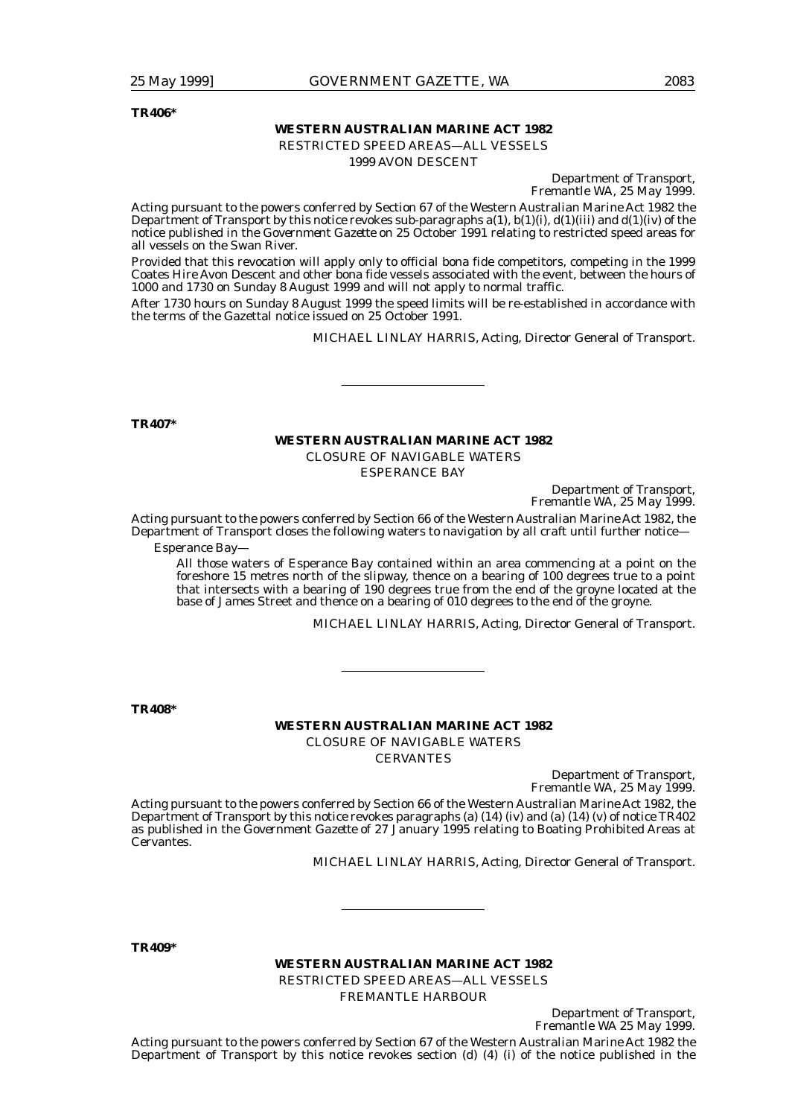**TR406\***

#### **WESTERN AUSTRALIAN MARINE ACT 1982**

RESTRICTED SPEED AREAS—ALL VESSELS

1999 AVON DESCENT

Department of Transport, Fremantle WA, 25 May 1999.

Acting pursuant to the powers conferred by Section 67 of the Western Australian Marine Act 1982 the Department of Transport by this notice revokes sub-paragraphs  $a(1)$ ,  $b(1)(i)$ ,  $d(1)(iii)$  and  $d(1)(iv)$  of the notice published in the *Government Gazette* on 25 October 1991 relating to restricted speed areas for all vessels on the Swan River.

Provided that this revocation will apply only to official bona fide competitors, competing in the 1999 Coates Hire Avon Descent and other bona fide vessels associated with the event, between the hours of 1000 and 1730 on Sunday 8 August 1999 and will not apply to normal traffic.

After 1730 hours on Sunday 8 August 1999 the speed limits will be re-established in accordance with the terms of the Gazettal notice issued on 25 October 1991.

MICHAEL LINLAY HARRIS, Acting, Director General of Transport.

**TR407\***

## **WESTERN AUSTRALIAN MARINE ACT 1982**

CLOSURE OF NAVIGABLE WATERS

ESPERANCE BAY

Department of Transport, Fremantle WA, 25 May 1999.

Acting pursuant to the powers conferred by Section 66 of the Western Australian Marine Act 1982, the Department of Transport closes the following waters to navigation by all craft until further notice—

Esperance Bay—

All those waters of Esperance Bay contained within an area commencing at a point on the foreshore 15 metres north of the slipway, thence on a bearing of 100 degrees true to a point that intersects with a bearing of 190 degrees true from the end of the groyne located at the base of James Street and thence on a bearing of 010 degrees to the end of the groyne.

MICHAEL LINLAY HARRIS, Acting, Director General of Transport.

**TR408\***

#### **WESTERN AUSTRALIAN MARINE ACT 1982** CLOSURE OF NAVIGABLE WATERS

CERVANTES

Department of Transport, Fremantle WA, 25 May 1999.

Department of Transport,

Acting pursuant to the powers conferred by Section 66 of the Western Australian Marine Act 1982, the Department of Transport by this notice revokes paragraphs (a) (14) (iv) and (a) (14) (v) of notice TR402 as published in the *Government Gazette* of 27 January 1995 relating to Boating Prohibited Areas at Cervantes.

MICHAEL LINLAY HARRIS, Acting, Director General of Transport.

**TR409\***

## **WESTERN AUSTRALIAN MARINE ACT 1982** RESTRICTED SPEED AREAS—ALL VESSELS

FREMANTLE HARBOUR

Fremantle WA 25 May 1999. Acting pursuant to the powers conferred by Section 67 of the Western Australian Marine Act 1982 the Department of Transport by this notice revokes section (d) (4) (i) of the notice published in the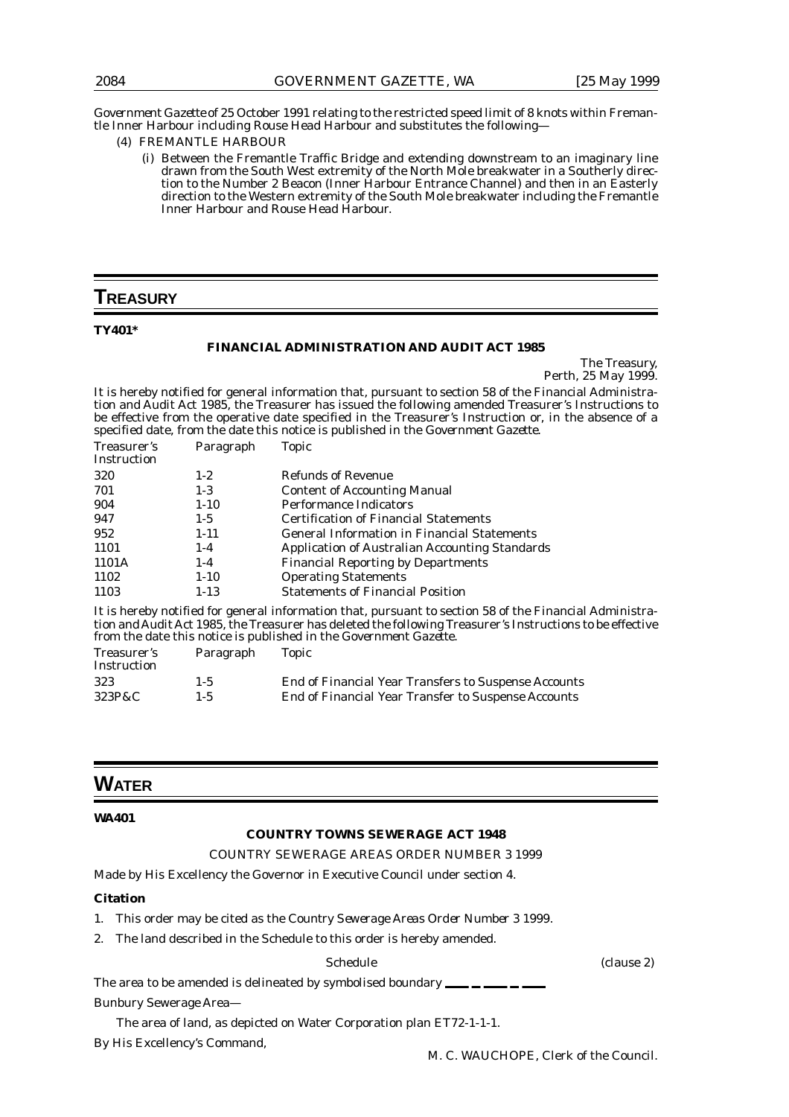*Government Gazette* of 25 October 1991 relating to the restricted speed limit of 8 knots within Fremantle Inner Harbour including Rouse Head Harbour and substitutes the following—

- (4) FREMANTLE HARBOUR
	- (i) Between the Fremantle Traffic Bridge and extending downstream to an imaginary line drawn from the South West extremity of the North Mole breakwater in a Southerly direction to the Number 2 Beacon (Inner Harbour Entrance Channel) and then in an Easterly direction to the Western extremity of the South Mole breakwater including the Fremantle Inner Harbour and Rouse Head Harbour.

## **TREASURY**

**TY401\***

#### **FINANCIAL ADMINISTRATION AND AUDIT ACT 1985**

The Treasury, Perth, 25 May 1999.

It is hereby notified for general information that, pursuant to section 58 of the Financial Administration and Audit Act 1985, the Treasurer has issued the following amended Treasurer's Instructions to be effective from the operative date specified in the Treasurer's Instruction or, in the absence of a specified date, from the date this notice is published in the *Government Gazette*.

| Treasurer's<br>Instruction | Paragraph | Topic                                                                                                   |
|----------------------------|-----------|---------------------------------------------------------------------------------------------------------|
| 320                        | $1 - 2$   | <b>Refunds of Revenue</b>                                                                               |
| 701                        | $1-3$     | <b>Content of Accounting Manual</b>                                                                     |
| 904                        | $1 - 10$  | <b>Performance Indicators</b>                                                                           |
| 947                        | $1 - 5$   | <b>Certification of Financial Statements</b>                                                            |
| 952                        | $1 - 11$  | <b>General Information in Financial Statements</b>                                                      |
| 1101                       | $1 - 4$   | Application of Australian Accounting Standards                                                          |
| 1101A                      | $1 - 4$   | <b>Financial Reporting by Departments</b>                                                               |
| 1102                       | $1 - 10$  | <b>Operating Statements</b>                                                                             |
| 1103                       | $1 - 13$  | <b>Statements of Financial Position</b>                                                                 |
|                            |           | It is hereby notified for general information that, pursuant to section 58 of the Financial Administra- |

tion and Audit Act 1985, the Treasurer has deleted the following Treasurer's Instructions to be effective from the date this notice is published in the *Government Gazette*.

| Treasurer's<br>Instruction | Paragraph | Topic                                                |
|----------------------------|-----------|------------------------------------------------------|
| 323                        | $1 - 5$   | End of Financial Year Transfers to Suspense Accounts |
| 323P&C                     | $1 - 5$   | End of Financial Year Transfer to Suspense Accounts  |

## **WATER**

#### **WA401**

## **COUNTRY TOWNS SEWERAGE ACT 1948**

#### COUNTRY SEWERAGE AREAS ORDER NUMBER 3 1999

Made by His Excellency the Governor in Executive Council under section 4.

#### **Citation**

- 1. This order may be cited as the *Country Sewerage Areas Order Number 3 1999.*
- 2. The land described in the Schedule to this order is hereby amended.

### Schedule (clause 2)

The area to be amended is delineated by symbolised boundary  $\equiv$ 

Bunbury Sewerage Area—

The area of land, as depicted on Water Corporation plan ET72-1-1-1.

By His Excellency's Command,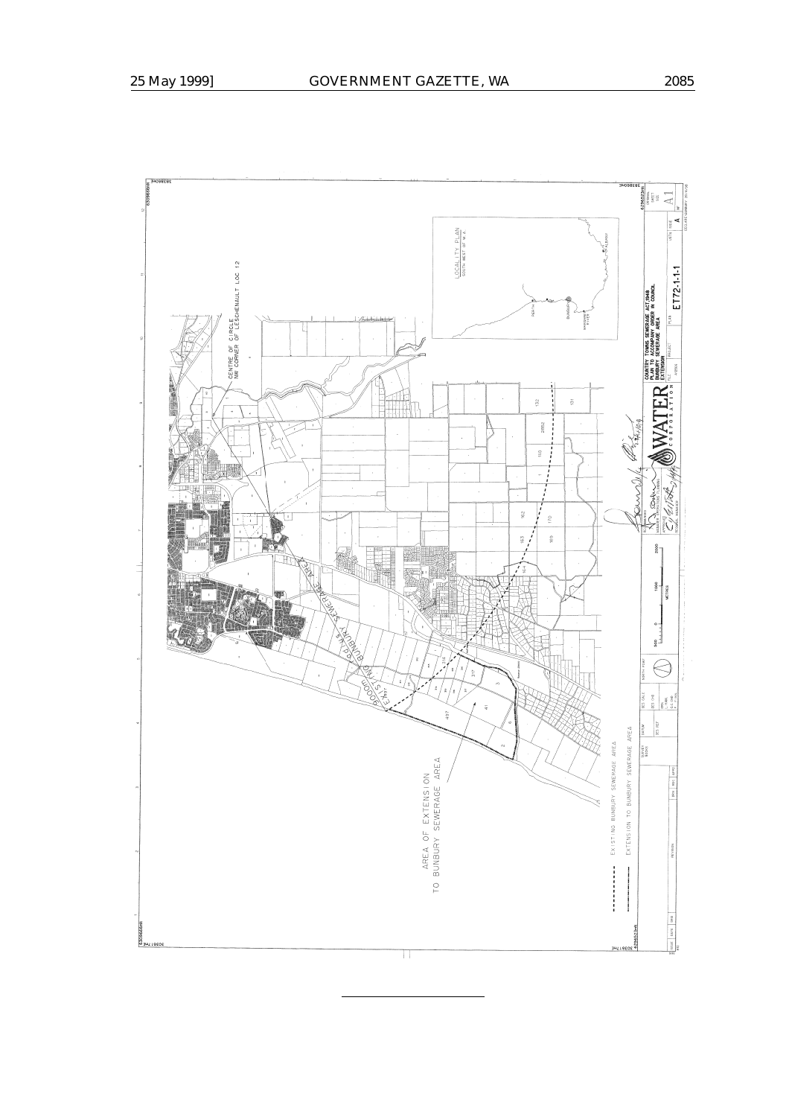II<br>E  $\frac{1}{\sqrt{2}}$  $\frac{0CAL1TYPLAN}{source West OF W.A.}$ CENTRE OF CIRCLE<br>NW CORNER OF LESCHENAULT LOC 12 ET72-1-11  $\frac{1}{2}\sqrt[3]{\sqrt[3]{\frac{1}{2}}}}$ <br>  $\left(\bigvee_{n=1}^{\infty}\prod_{\alpha=1}^{\infty}\prod_{\alpha=1}^{\infty}\prod_{\alpha=1}^{\infty}\prod_{\alpha=1}^{\infty}\prod_{\alpha=1}^{\infty}\prod_{\alpha=1}^{\infty}\prod_{\alpha=1}^{\infty}\prod_{\alpha=1}^{\infty}\prod_{\alpha=1}^{\infty}\prod_{\alpha=1}^{\infty}\prod_{\alpha=1}^{\infty}\prod_{\alpha=1}^{\infty}\prod_{\alpha=1}^{\infty}\prod_{\alpha=1}^{\infty}\prod_{\alpha=1}^$ **HOVER** ļ  $^{122}$  $\frac{1}{10}$ 2852  $^{14.0}_\odot$  $\overline{a}$ Ş **Control**  $\frac{3}{2}$  $170$  $\frac{6}{6}$  $\frac{8}{9}$ 2000 ž.  $\begin{array}{c|c}\n 1000 \\
 \hline\n \text{MITRES}\n \end{array}$  $\circ$  - $\frac{1}{8}$  $\bigotimes$  $\approx$  040  $\begin{array}{c} 288 \\ 248 \\ - 1448 \\ 0.016 \\ \end{array}$  $\frac{5}{2}$ JES REF **MATUM** EXTENSION TO BUNBURY SEWERAGE AREA EXISTING BUNBURY SEWERAGE AREA **SURVEY** AREA OF EXTENSION<br>Bunbury sewerage area  $\frac{1}{2}$  $\rm _{\rm C}^{\circ}$ l **O**<br>O JAT 18505 **BROS**<br>BROS Ш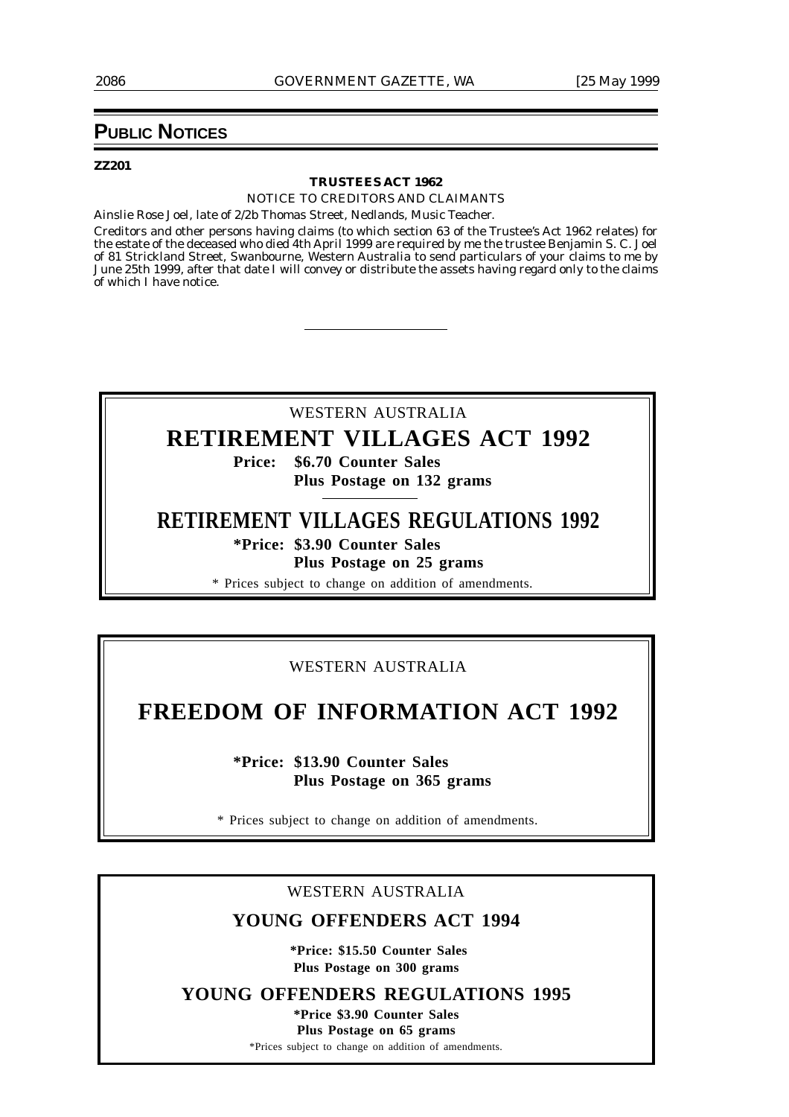## **PUBLIC NOTICES**

#### **ZZ201**

#### **TRUSTEES ACT 1962**

NOTICE TO CREDITORS AND CLAIMANTS

Ainslie Rose Joel, late of 2/2b Thomas Street, Nedlands, Music Teacher.

Creditors and other persons having claims (to which section 63 of the Trustee's Act 1962 relates) for the estate of the deceased who died 4th April 1999 are required by me the trustee Benjamin S. C. Joel of 81 Strickland Street, Swanbourne, Western Australia to send particulars of your claims to me by June 25th 1999, after that date I will convey or distribute the assets having regard only to the claims of which I have notice.

# WESTERN AUSTRALIA **RETIREMENT VILLAGES ACT 1992**

**Price: \$6.70 Counter Sales Plus Postage on 132 grams**

**RETIREMENT VILLAGES REGULATIONS 1992**

**\*Price: \$3.90 Counter Sales Plus Postage on 25 grams**

\* Prices subject to change on addition of amendments.

## WESTERN AUSTRALIA

# **FREEDOM OF INFORMATION ACT 1992**

**\*Price: \$13.90 Counter Sales Plus Postage on 365 grams**

\* Prices subject to change on addition of amendments.

## WESTERN AUSTRALIA

## **YOUNG OFFENDERS ACT 1994**

 **\*Price: \$15.50 Counter Sales Plus Postage on 300 grams**

**YOUNG OFFENDERS REGULATIONS 1995**

**\*Price \$3.90 Counter Sales Plus Postage on 65 grams**

\*Prices subject to change on addition of amendments.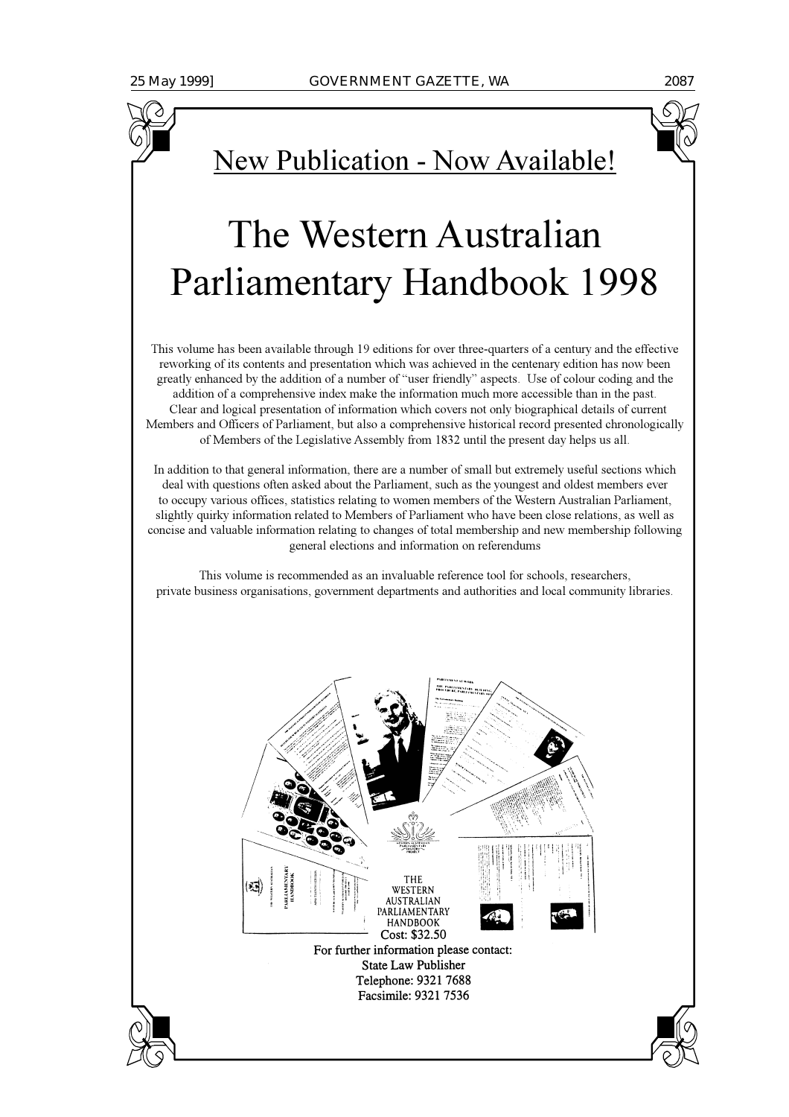# New Publication - Now Available!

# The Western Australian **Parliamentary Handbook 1998**

This volume has been available through 19 editions for over three-quarters of a century and the effective reworking of its contents and presentation which was achieved in the centenary edition has now been greatly enhanced by the addition of a number of "user friendly" aspects. Use of colour coding and the addition of a comprehensive index make the information much more accessible than in the past. Clear and logical presentation of information which covers not only biographical details of current Members and Officers of Parliament, but also a comprehensive historical record presented chronologically of Members of the Legislative Assembly from 1832 until the present day helps us all.

In addition to that general information, there are a number of small but extremely useful sections which deal with questions often asked about the Parliament, such as the youngest and oldest members ever to occupy various offices, statistics relating to women members of the Western Australian Parliament, slightly quirky information related to Members of Parliament who have been close relations, as well as concise and valuable information relating to changes of total membership and new membership following general elections and information on referendums

This volume is recommended as an invaluable reference tool for schools, researchers, private business organisations, government departments and authorities and local community libraries.